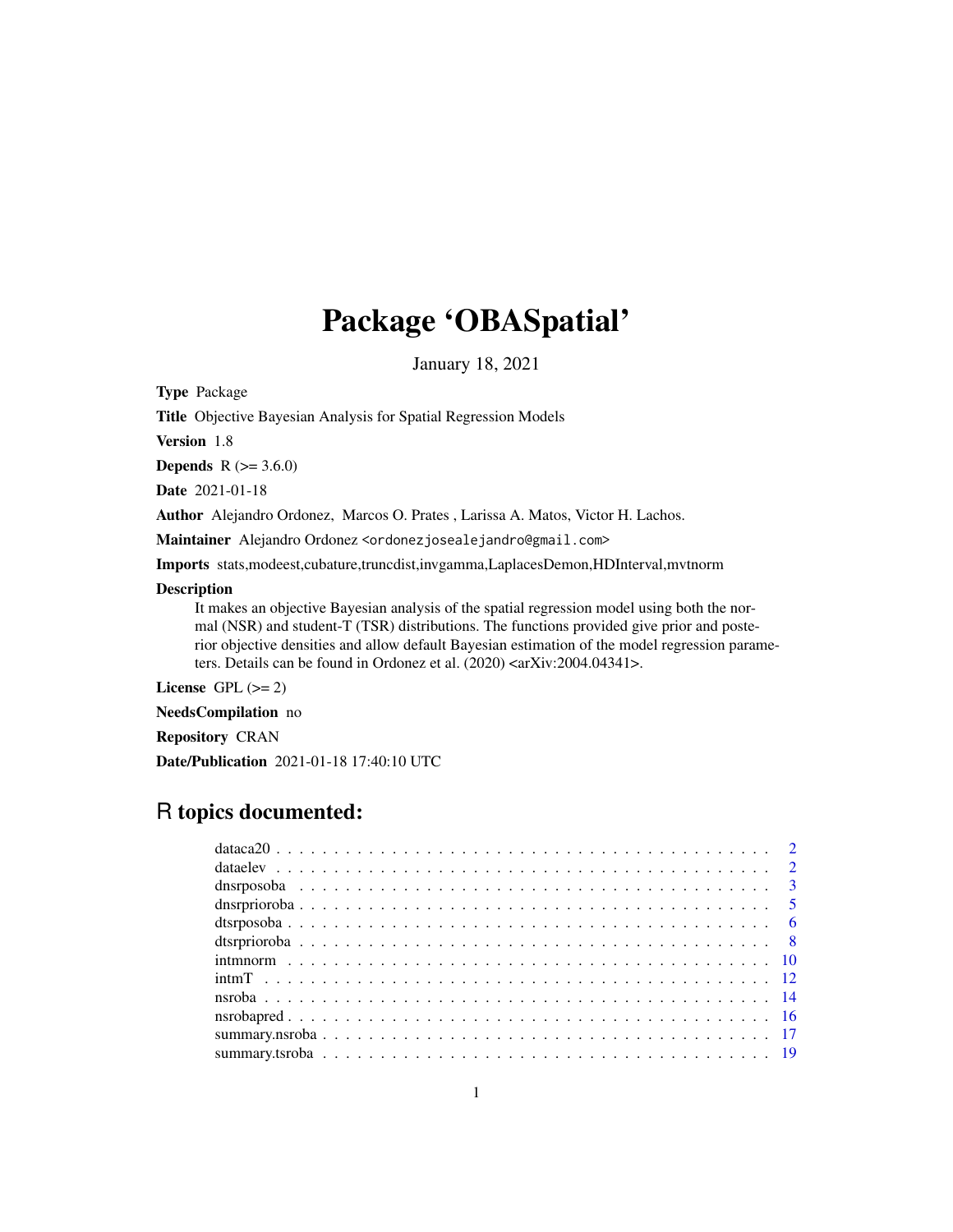# Package 'OBASpatial'

January 18, 2021

Type Package

Title Objective Bayesian Analysis for Spatial Regression Models

Version 1.8

**Depends** R  $(>= 3.6.0)$ 

Date 2021-01-18

Author Alejandro Ordonez, Marcos O. Prates , Larissa A. Matos, Victor H. Lachos.

Maintainer Alejandro Ordonez <ordonezjosealejandro@gmail.com>

Imports stats,modeest,cubature,truncdist,invgamma,LaplacesDemon,HDInterval,mvtnorm

# Description

It makes an objective Bayesian analysis of the spatial regression model using both the normal (NSR) and student-T (TSR) distributions. The functions provided give prior and posterior objective densities and allow default Bayesian estimation of the model regression parameters. Details can be found in Ordonez et al. (2020) <arXiv:2004.04341>.

License GPL  $(>= 2)$ 

NeedsCompilation no

Repository CRAN

Date/Publication 2021-01-18 17:40:10 UTC

# R topics documented: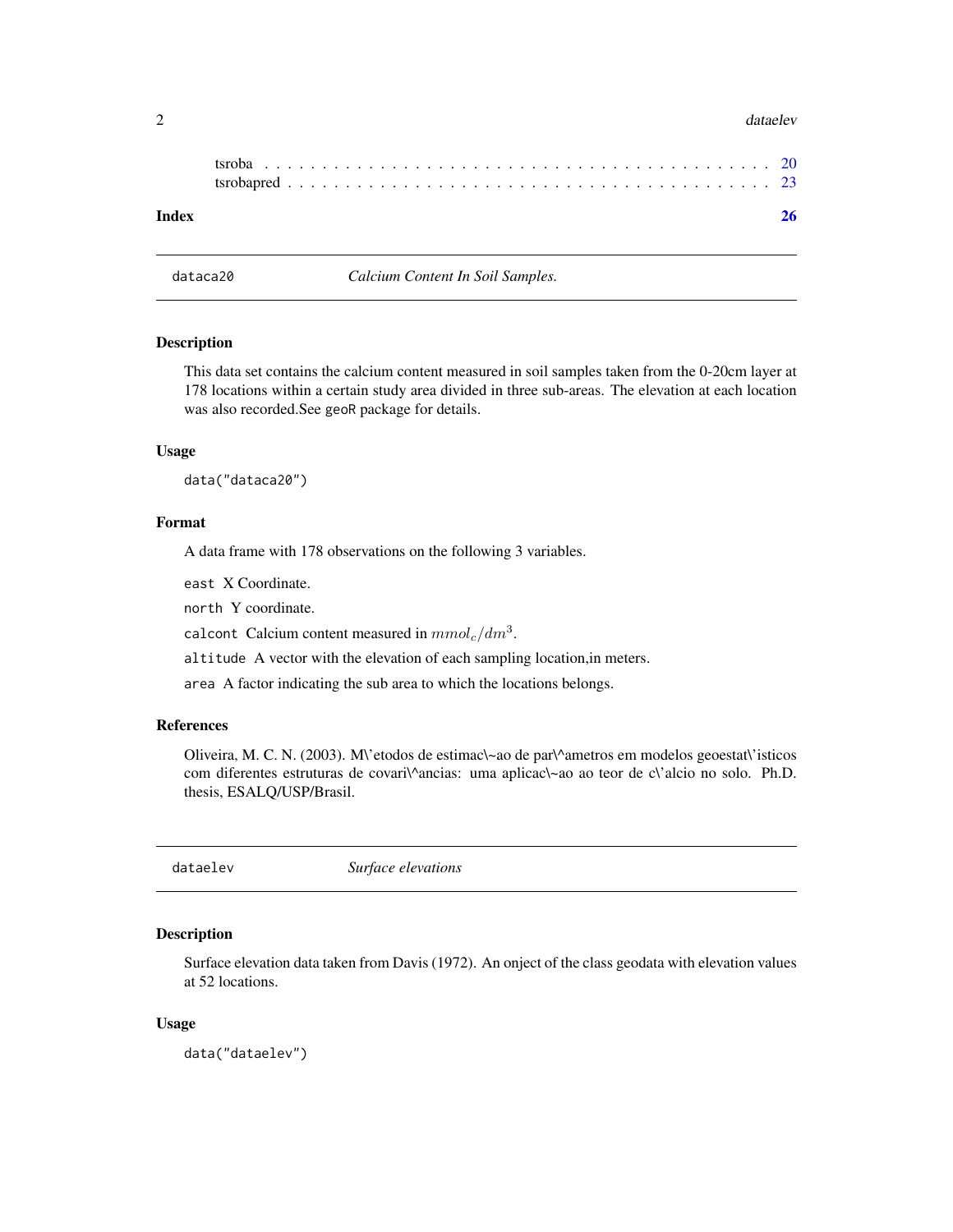### <span id="page-1-0"></span>2 database of the contract of the contract of the contract of the contract of the contract of the contract of the contract of the contract of the contract of the contract of the contract of the contract of the contract of

| Index |  |  |  |  |  |  |  |  |  |  |  |  |  |  |  |  |  |  |
|-------|--|--|--|--|--|--|--|--|--|--|--|--|--|--|--|--|--|--|

dataca20 *Calcium Content In Soil Samples.*

# Description

This data set contains the calcium content measured in soil samples taken from the 0-20cm layer at 178 locations within a certain study area divided in three sub-areas. The elevation at each location was also recorded.See geoR package for details.

### Usage

data("dataca20")

# Format

A data frame with 178 observations on the following 3 variables.

east X Coordinate.

north Y coordinate.

calcont Calcium content measured in  $mmol_c/dm^3$ .

altitude A vector with the elevation of each sampling location,in meters.

area A factor indicating the sub area to which the locations belongs.

### References

Oliveira, M. C. N. (2003). M\'etodos de estimac\~ao de par\^ametros em modelos geoestat\'isticos com diferentes estruturas de covari $\alpha$ ancias: uma aplicac $\sim$ ao ao teor de c $\alpha$ alcio no solo. Ph.D. thesis, ESALQ/USP/Brasil.

dataelev *Surface elevations*

## Description

Surface elevation data taken from Davis (1972). An onject of the class geodata with elevation values at 52 locations.

### Usage

data("dataelev")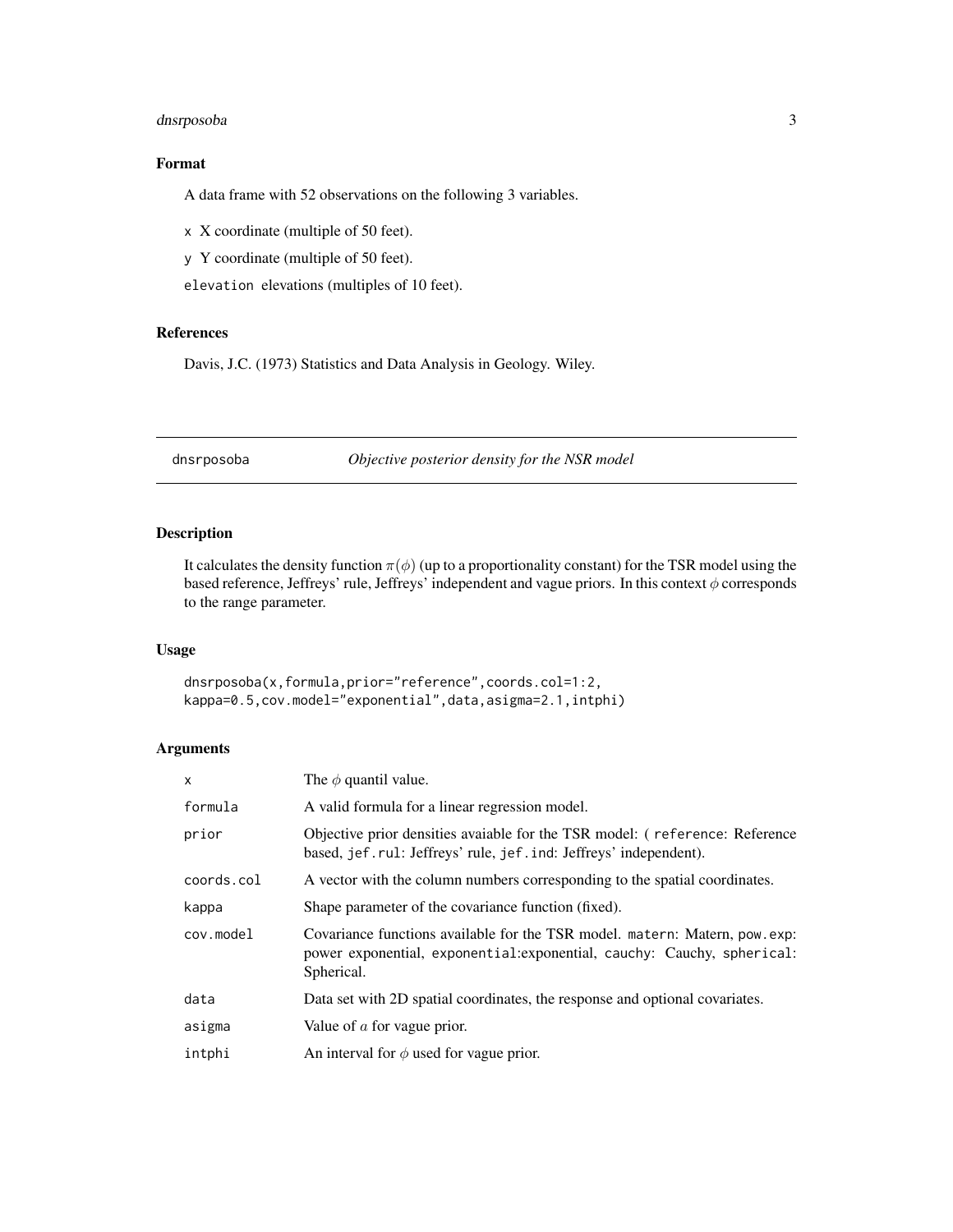# <span id="page-2-0"></span>dnsrposoba 3

# Format

A data frame with 52 observations on the following 3 variables.

x X coordinate (multiple of 50 feet).

y Y coordinate (multiple of 50 feet).

elevation elevations (multiples of 10 feet).

### References

Davis, J.C. (1973) Statistics and Data Analysis in Geology. Wiley.

<span id="page-2-1"></span>dnsrposoba *Objective posterior density for the NSR model*

### Description

It calculates the density function  $\pi(\phi)$  (up to a proportionality constant) for the TSR model using the based reference, Jeffreys' rule, Jeffreys' independent and vague priors. In this context  $\phi$  corresponds to the range parameter.

### Usage

```
dnsrposoba(x,formula,prior="reference",coords.col=1:2,
kappa=0.5,cov.model="exponential",data,asigma=2.1,intphi)
```
# Arguments

| $\mathsf{x}$ | The $\phi$ quantil value.                                                                                                                                           |
|--------------|---------------------------------------------------------------------------------------------------------------------------------------------------------------------|
| formula      | A valid formula for a linear regression model.                                                                                                                      |
| prior        | Objective prior densities avaiable for the TSR model: (reference: Reference<br>based, jef.rul: Jeffreys' rule, jef.ind: Jeffreys' independent).                     |
| coords.col   | A vector with the column numbers corresponding to the spatial coordinates.                                                                                          |
| kappa        | Shape parameter of the covariance function (fixed).                                                                                                                 |
| cov.model    | Covariance functions available for the TSR model. matern: Matern, pow.exp:<br>power exponential, exponential: exponential, cauchy: Cauchy, spherical:<br>Spherical. |
| data         | Data set with 2D spatial coordinates, the response and optional covariates.                                                                                         |
| asigma       | Value of $\alpha$ for vague prior.                                                                                                                                  |
| intphi       | An interval for $\phi$ used for vague prior.                                                                                                                        |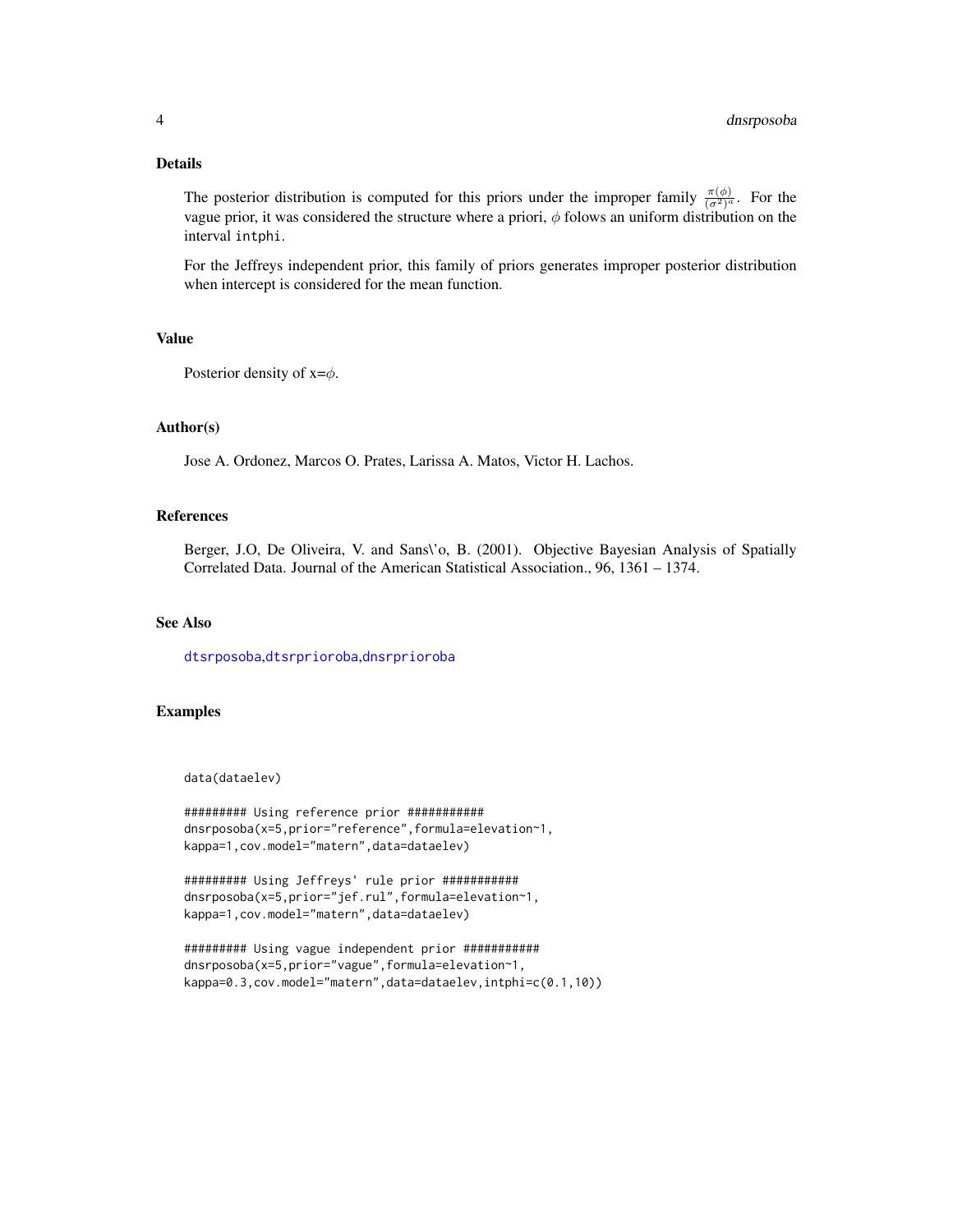# <span id="page-3-0"></span>Details

The posterior distribution is computed for this priors under the improper family  $\frac{\pi(\phi)}{(\sigma^2)^a}$ . For the vague prior, it was considered the structure where a priori,  $\phi$  folows an uniform distribution on the interval intphi.

For the Jeffreys independent prior, this family of priors generates improper posterior distribution when intercept is considered for the mean function.

# Value

Posterior density of  $x = \phi$ .

# Author(s)

Jose A. Ordonez, Marcos O. Prates, Larissa A. Matos, Victor H. Lachos.

# References

Berger, J.O, De Oliveira, V. and Sans\'o, B. (2001). Objective Bayesian Analysis of Spatially Correlated Data. Journal of the American Statistical Association., 96, 1361 – 1374.

### See Also

[dtsrposoba](#page-5-1),[dtsrprioroba](#page-7-1),[dnsrprioroba](#page-4-1)

# Examples

data(dataelev)

```
######### Using reference prior ###########
dnsrposoba(x=5,prior="reference",formula=elevation~1,
kappa=1,cov.model="matern",data=dataelev)
```

```
######### Using Jeffreys' rule prior ###########
dnsrposoba(x=5,prior="jef.rul",formula=elevation~1,
kappa=1,cov.model="matern",data=dataelev)
```

```
######### Using vague independent prior ###########
dnsrposoba(x=5,prior="vague",formula=elevation~1,
kappa=0.3,cov.model="matern",data=dataelev,intphi=c(0.1,10))
```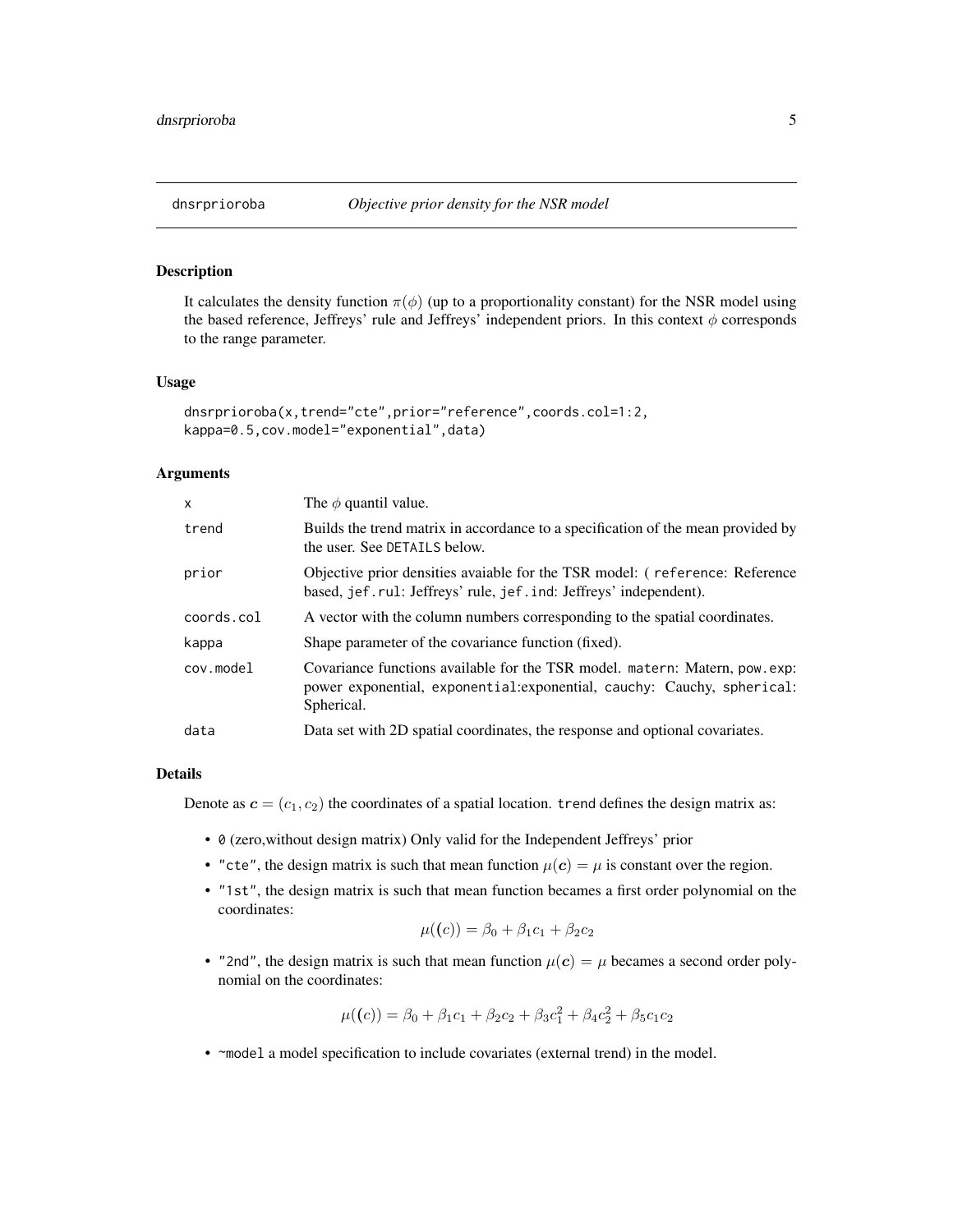<span id="page-4-1"></span><span id="page-4-0"></span>

### Description

It calculates the density function  $\pi(\phi)$  (up to a proportionality constant) for the NSR model using the based reference, Jeffreys' rule and Jeffreys' independent priors. In this context  $\phi$  corresponds to the range parameter.

### Usage

```
dnsrprioroba(x,trend="cte",prior="reference",coords.col=1:2,
kappa=0.5,cov.model="exponential",data)
```
### **Arguments**

| X          | The $\phi$ quantil value.                                                                                                                                           |
|------------|---------------------------------------------------------------------------------------------------------------------------------------------------------------------|
| trend      | Builds the trend matrix in accordance to a specification of the mean provided by<br>the user. See DETAILS below.                                                    |
| prior      | Objective prior densities avaiable for the TSR model: (reference: Reference<br>based, jef.rul: Jeffreys' rule, jef.ind: Jeffreys' independent).                     |
| coords.col | A vector with the column numbers corresponding to the spatial coordinates.                                                                                          |
| kappa      | Shape parameter of the covariance function (fixed).                                                                                                                 |
| cov.model  | Covariance functions available for the TSR model. matern: Matern, pow.exp:<br>power exponential, exponential: exponential, cauchy: Cauchy, spherical:<br>Spherical. |
| data       | Data set with 2D spatial coordinates, the response and optional covariates.                                                                                         |

### Details

Denote as  $\mathbf{c} = (c_1, c_2)$  the coordinates of a spatial location. trend defines the design matrix as:

- 0 (zero,without design matrix) Only valid for the Independent Jeffreys' prior
- "cte", the design matrix is such that mean function  $\mu(c) = \mu$  is constant over the region.
- "1st", the design matrix is such that mean function becames a first order polynomial on the coordinates:

$$
\mu((c)) = \beta_0 + \beta_1 c_1 + \beta_2 c_2
$$

• "2nd", the design matrix is such that mean function  $\mu(c) = \mu$  becames a second order polynomial on the coordinates:

$$
\mu((c)) = \beta_0 + \beta_1 c_1 + \beta_2 c_2 + \beta_3 c_1^2 + \beta_4 c_2^2 + \beta_5 c_1 c_2
$$

• ~model a model specification to include covariates (external trend) in the model.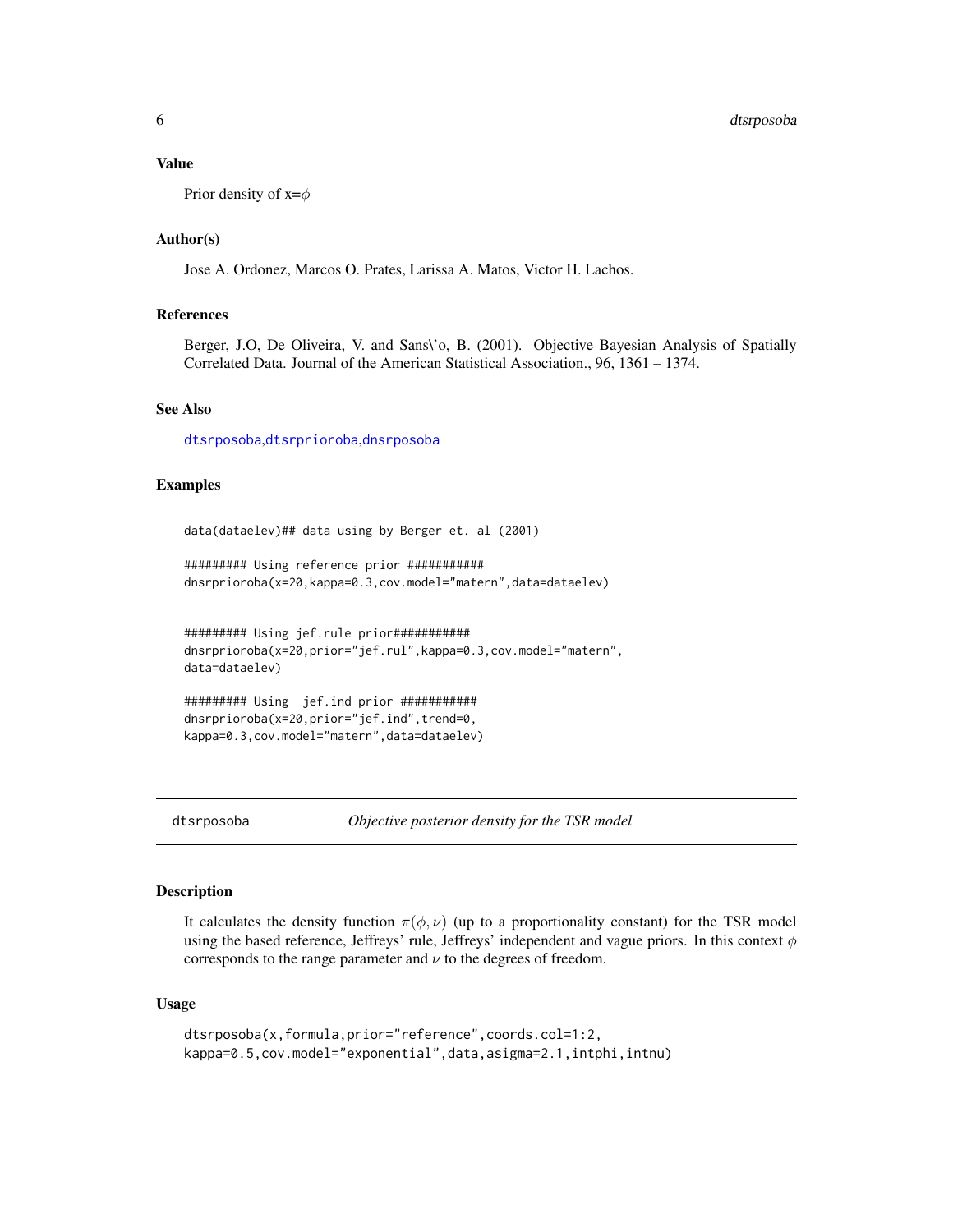### <span id="page-5-0"></span>Value

Prior density of  $x = \phi$ 

# Author(s)

Jose A. Ordonez, Marcos O. Prates, Larissa A. Matos, Victor H. Lachos.

### References

Berger, J.O, De Oliveira, V. and Sans\'o, B. (2001). Objective Bayesian Analysis of Spatially Correlated Data. Journal of the American Statistical Association., 96, 1361 – 1374.

# See Also

[dtsrposoba](#page-5-1),[dtsrprioroba](#page-7-1),[dnsrposoba](#page-2-1)

### Examples

data(dataelev)## data using by Berger et. al (2001)

######### Using reference prior ########### dnsrprioroba(x=20,kappa=0.3,cov.model="matern",data=dataelev)

```
######### Using jef.rule prior###########
dnsrprioroba(x=20,prior="jef.rul",kappa=0.3,cov.model="matern",
data=dataelev)
```
######### Using jef.ind prior ########### dnsrprioroba(x=20,prior="jef.ind",trend=0, kappa=0.3,cov.model="matern",data=dataelev)

<span id="page-5-1"></span>dtsrposoba *Objective posterior density for the TSR model*

### Description

It calculates the density function  $\pi(\phi, \nu)$  (up to a proportionality constant) for the TSR model using the based reference, Jeffreys' rule, Jeffreys' independent and vague priors. In this context  $\phi$ corresponds to the range parameter and  $\nu$  to the degrees of freedom.

### Usage

```
dtsrposoba(x,formula,prior="reference",coords.col=1:2,
kappa=0.5,cov.model="exponential",data,asigma=2.1,intphi,intnu)
```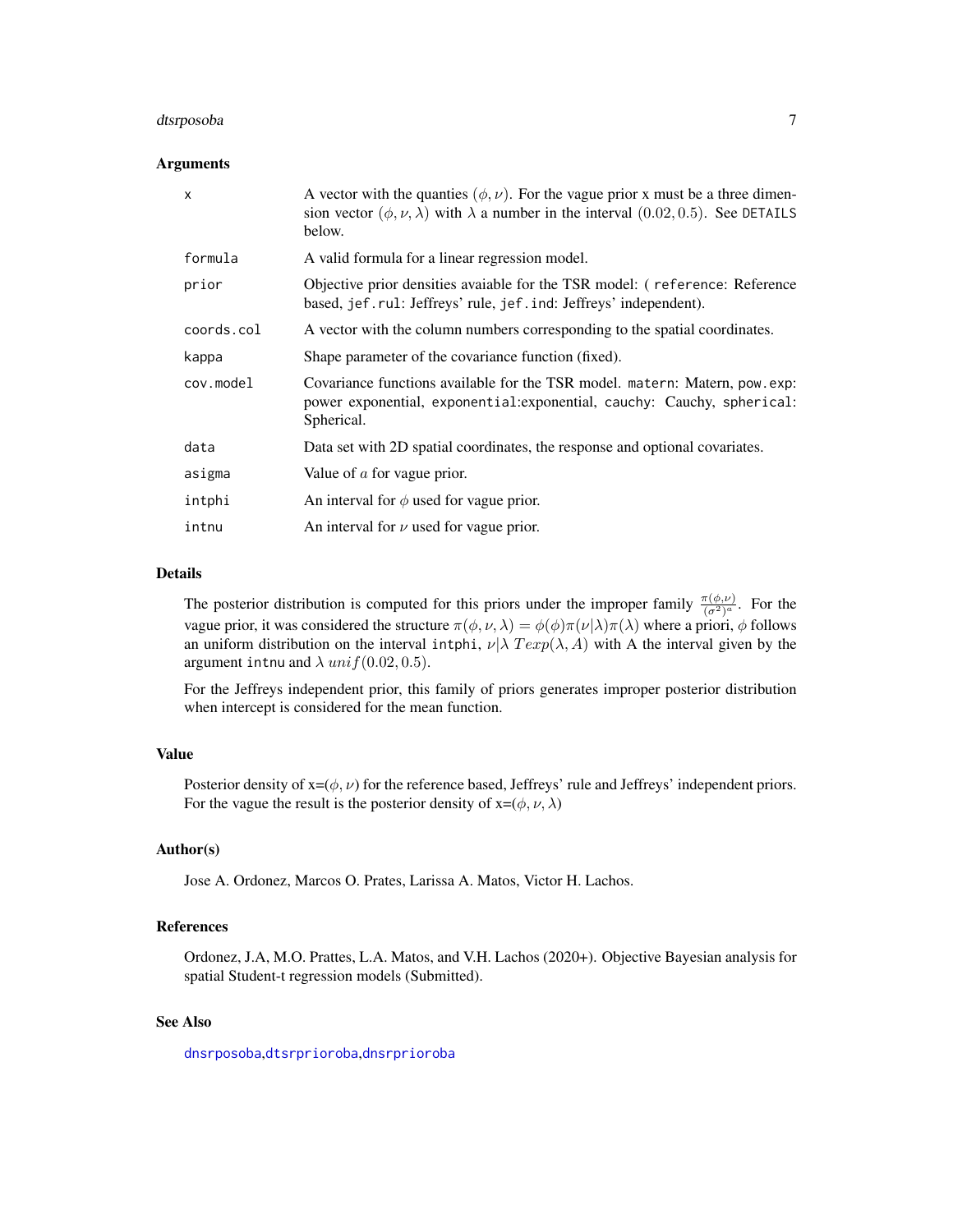# <span id="page-6-0"></span>dtsrposoba 7

### Arguments

| $\times$   | A vector with the quanties $(\phi, \nu)$ . For the vague prior x must be a three dimen-<br>sion vector $(\phi, \nu, \lambda)$ with $\lambda$ a number in the interval $(0.02, 0.5)$ . See DETAILS<br>below. |
|------------|-------------------------------------------------------------------------------------------------------------------------------------------------------------------------------------------------------------|
| formula    | A valid formula for a linear regression model.                                                                                                                                                              |
| prior      | Objective prior densities avaiable for the TSR model: (reference: Reference<br>based, jef.rul: Jeffreys' rule, jef.ind: Jeffreys' independent).                                                             |
| coords.col | A vector with the column numbers corresponding to the spatial coordinates.                                                                                                                                  |
| kappa      | Shape parameter of the covariance function (fixed).                                                                                                                                                         |
| cov.model  | Covariance functions available for the TSR model. matern: Matern, pow.exp:<br>power exponential, exponential: exponential, cauchy: Cauchy, spherical:<br>Spherical.                                         |
| data       | Data set with 2D spatial coordinates, the response and optional covariates.                                                                                                                                 |
| asigma     | Value of $\alpha$ for vague prior.                                                                                                                                                                          |
| intphi     | An interval for $\phi$ used for vague prior.                                                                                                                                                                |
| intnu      | An interval for $\nu$ used for vague prior.                                                                                                                                                                 |

# Details

The posterior distribution is computed for this priors under the improper family  $\frac{\pi(\phi,\nu)}{(\sigma^2)^a}$ . For the vague prior, it was considered the structure  $\pi(\phi, \nu, \lambda) = \phi(\phi)\pi(\nu|\lambda)\pi(\lambda)$  where a priori,  $\phi$  follows an uniform distribution on the interval intphi, ν|λ T exp(λ, A) with A the interval given by the argument intnu and  $\lambda$  unif (0.02, 0.5).

For the Jeffreys independent prior, this family of priors generates improper posterior distribution when intercept is considered for the mean function.

# Value

Posterior density of  $x=(\phi, \nu)$  for the reference based, Jeffreys' rule and Jeffreys' independent priors. For the vague the result is the posterior density of  $x=(\phi, \nu, \lambda)$ 

### Author(s)

Jose A. Ordonez, Marcos O. Prates, Larissa A. Matos, Victor H. Lachos.

### References

Ordonez, J.A, M.O. Prattes, L.A. Matos, and V.H. Lachos (2020+). Objective Bayesian analysis for spatial Student-t regression models (Submitted).

### See Also

[dnsrposoba](#page-2-1),[dtsrprioroba](#page-7-1),[dnsrprioroba](#page-4-1)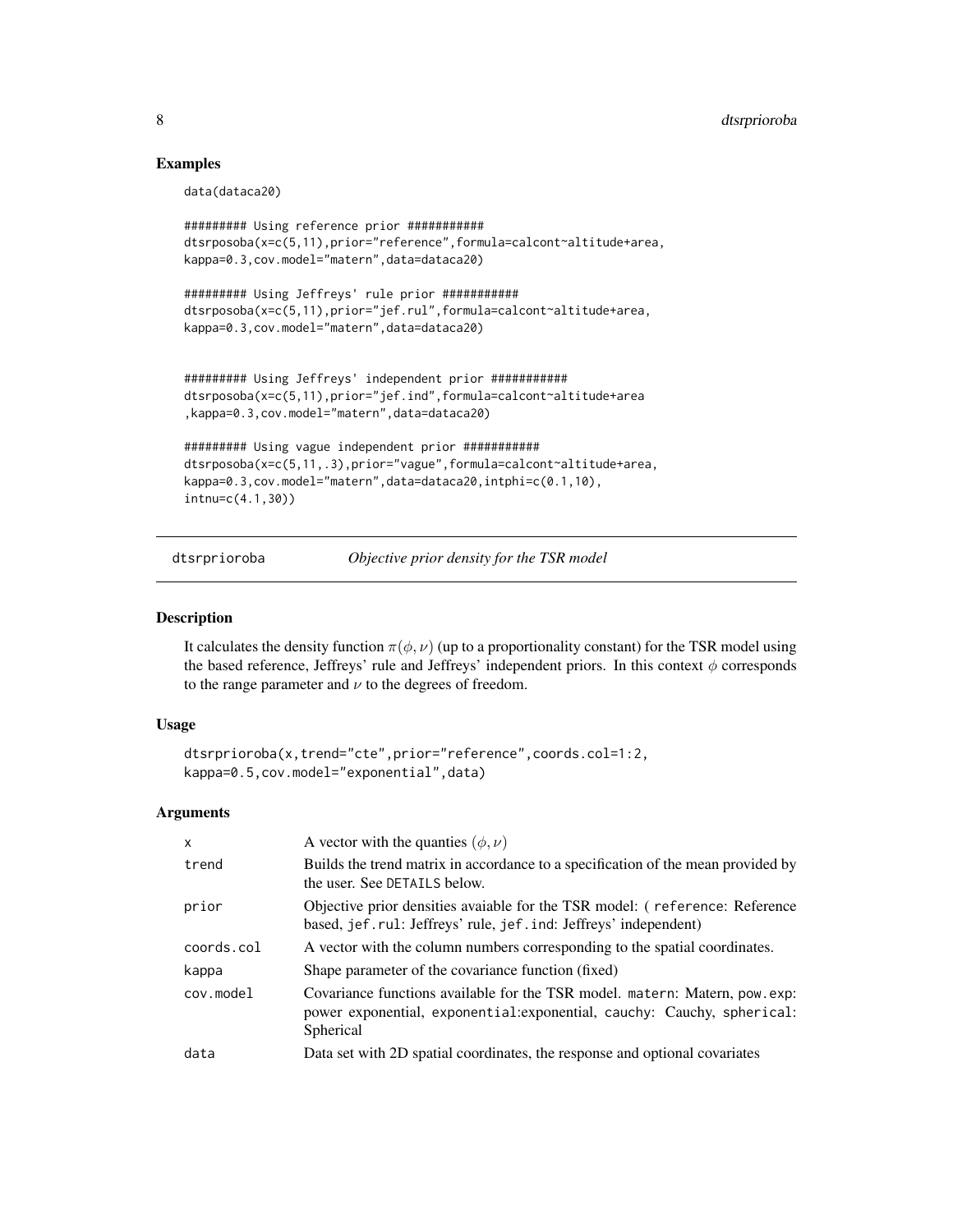### Examples

data(dataca20)

```
######### Using reference prior ###########
dtsrposoba(x=c(5,11),prior="reference",formula=calcont~altitude+area,
kappa=0.3,cov.model="matern",data=dataca20)
######### Using Jeffreys' rule prior ###########
dtsrposoba(x=c(5,11),prior="jef.rul",formula=calcont~altitude+area,
kappa=0.3,cov.model="matern",data=dataca20)
######### Using Jeffreys' independent prior ###########
dtsrposoba(x=c(5,11),prior="jef.ind",formula=calcont~altitude+area
,kappa=0.3,cov.model="matern",data=dataca20)
######### Using vague independent prior ###########
dtsrposoba(x=c(5,11,.3),prior="vague",formula=calcont~altitude+area,
kappa=0.3,cov.model="matern",data=dataca20,intphi=c(0.1,10),
intnu=c(4.1,30))
```
<span id="page-7-1"></span>

dtsrprioroba *Objective prior density for the TSR model*

# Description

It calculates the density function  $\pi(\phi, \nu)$  (up to a proportionality constant) for the TSR model using the based reference, Jeffreys' rule and Jeffreys' independent priors. In this context  $\phi$  corresponds to the range parameter and  $\nu$  to the degrees of freedom.

### Usage

```
dtsrprioroba(x,trend="cte",prior="reference",coords.col=1:2,
kappa=0.5,cov.model="exponential",data)
```
### Arguments

| $\mathsf{x}$ | A vector with the quanties $(\phi, \nu)$                                                                                                                           |
|--------------|--------------------------------------------------------------------------------------------------------------------------------------------------------------------|
| trend        | Builds the trend matrix in accordance to a specification of the mean provided by<br>the user. See DETAILS below.                                                   |
| prior        | Objective prior densities avaiable for the TSR model: (reference: Reference<br>based, jef.rul: Jeffreys' rule, jef.ind: Jeffreys' independent)                     |
| coords.col   | A vector with the column numbers corresponding to the spatial coordinates.                                                                                         |
| kappa        | Shape parameter of the covariance function (fixed)                                                                                                                 |
| cov.model    | Covariance functions available for the TSR model. matern: Matern, pow.exp:<br>power exponential, exponential: exponential, cauchy: Cauchy, spherical:<br>Spherical |
| data         | Data set with 2D spatial coordinates, the response and optional covariates                                                                                         |

<span id="page-7-0"></span>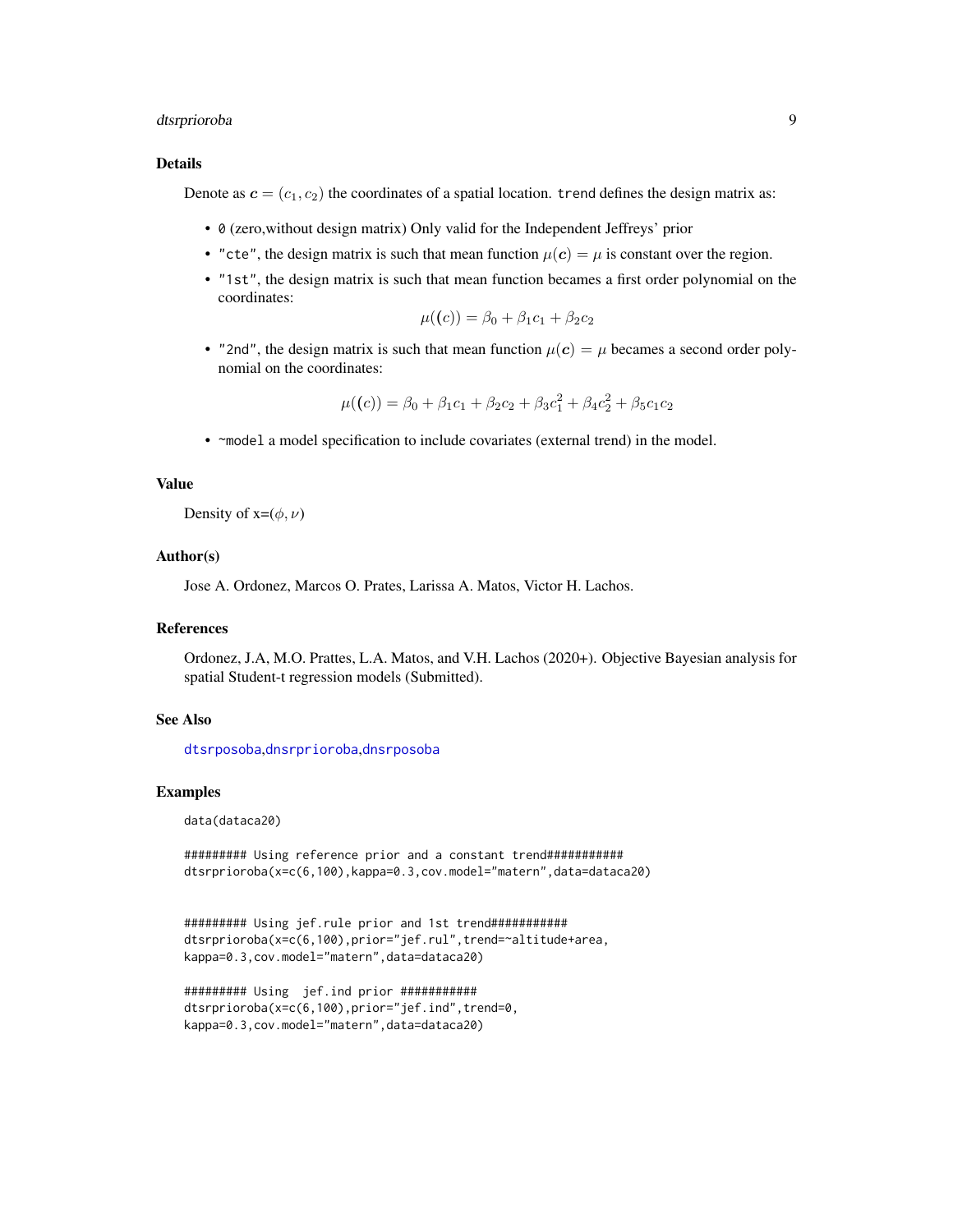### <span id="page-8-0"></span>dtsrprioroba 9

# Details

Denote as  $\mathbf{c} = (c_1, c_2)$  the coordinates of a spatial location. trend defines the design matrix as:

- 0 (zero,without design matrix) Only valid for the Independent Jeffreys' prior
- "cte", the design matrix is such that mean function  $\mu(c) = \mu$  is constant over the region.
- "1st", the design matrix is such that mean function becames a first order polynomial on the coordinates:

$$
\mu((c)) = \beta_0 + \beta_1 c_1 + \beta_2 c_2
$$

• "2nd", the design matrix is such that mean function  $\mu(c) = \mu$  becames a second order polynomial on the coordinates:

$$
\mu((c)) = \beta_0 + \beta_1 c_1 + \beta_2 c_2 + \beta_3 c_1^2 + \beta_4 c_2^2 + \beta_5 c_1 c_2
$$

• ~model a model specification to include covariates (external trend) in the model.

### Value

Density of  $x=(\phi, \nu)$ 

### Author(s)

Jose A. Ordonez, Marcos O. Prates, Larissa A. Matos, Victor H. Lachos.

### References

Ordonez, J.A, M.O. Prattes, L.A. Matos, and V.H. Lachos (2020+). Objective Bayesian analysis for spatial Student-t regression models (Submitted).

# See Also

[dtsrposoba](#page-5-1),[dnsrprioroba](#page-4-1),[dnsrposoba](#page-2-1)

# Examples

data(dataca20)

######### Using reference prior and a constant trend########### dtsrprioroba(x=c(6,100),kappa=0.3,cov.model="matern",data=dataca20)

```
######### Using jef.rule prior and 1st trend###########
dtsrprioroba(x=c(6,100),prior="jef.rul",trend=~altitude+area,
kappa=0.3,cov.model="matern",data=dataca20)
```

```
######### Using jef.ind prior ###########
dtsrprioroba(x=c(6,100),prior="jef.ind",trend=0,
kappa=0.3,cov.model="matern",data=dataca20)
```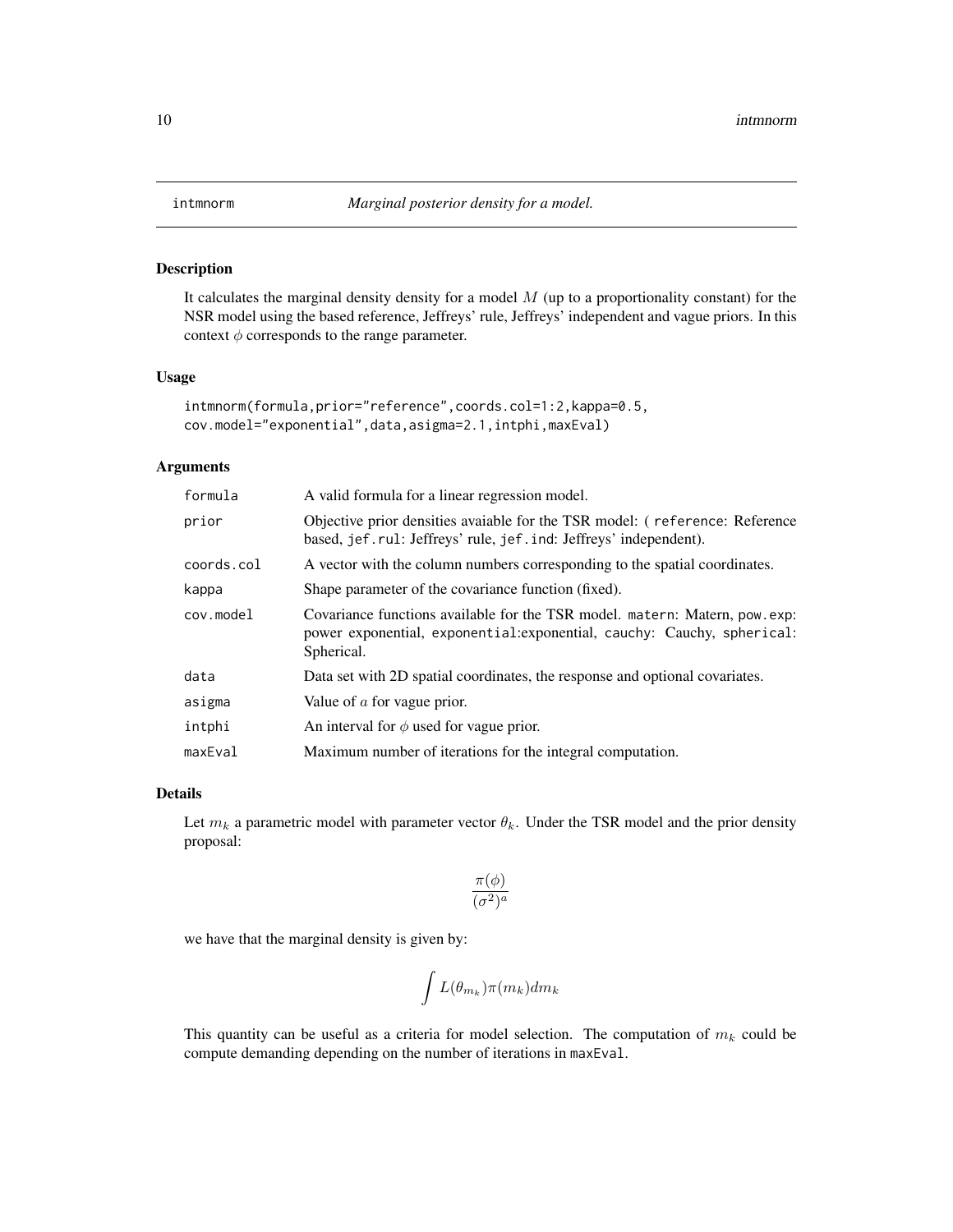<span id="page-9-0"></span>

### Description

It calculates the marginal density density for a model  $M$  (up to a proportionality constant) for the NSR model using the based reference, Jeffreys' rule, Jeffreys' independent and vague priors. In this context  $\phi$  corresponds to the range parameter.

### Usage

```
intmnorm(formula,prior="reference",coords.col=1:2,kappa=0.5,
cov.model="exponential",data,asigma=2.1,intphi,maxEval)
```
### Arguments

| formula    | A valid formula for a linear regression model.                                                                                                                       |
|------------|----------------------------------------------------------------------------------------------------------------------------------------------------------------------|
| prior      | Objective prior densities avaiable for the TSR model: (reference: Reference<br>based, jef.rul: Jeffreys' rule, jef.ind: Jeffreys' independent).                      |
| coords.col | A vector with the column numbers corresponding to the spatial coordinates.                                                                                           |
| kappa      | Shape parameter of the covariance function (fixed).                                                                                                                  |
| cov.model  | Covariance functions available for the TSR model, matern: Matern, pow. exp:<br>power exponential, exponential: exponential, cauchy: Cauchy, spherical:<br>Spherical. |
| data       | Data set with 2D spatial coordinates, the response and optional covariates.                                                                                          |
| asigma     | Value of $\alpha$ for vague prior.                                                                                                                                   |
| intphi     | An interval for $\phi$ used for vague prior.                                                                                                                         |
| maxEval    | Maximum number of iterations for the integral computation.                                                                                                           |

### Details

Let  $m_k$  a parametric model with parameter vector  $\theta_k$ . Under the TSR model and the prior density proposal:

$$
\frac{\pi(\phi)}{(\sigma^2)^a}
$$

we have that the marginal density is given by:

$$
\int L(\theta_{m_k})\pi(m_k)dm_k
$$

This quantity can be useful as a criteria for model selection. The computation of  $m_k$  could be compute demanding depending on the number of iterations in maxEval.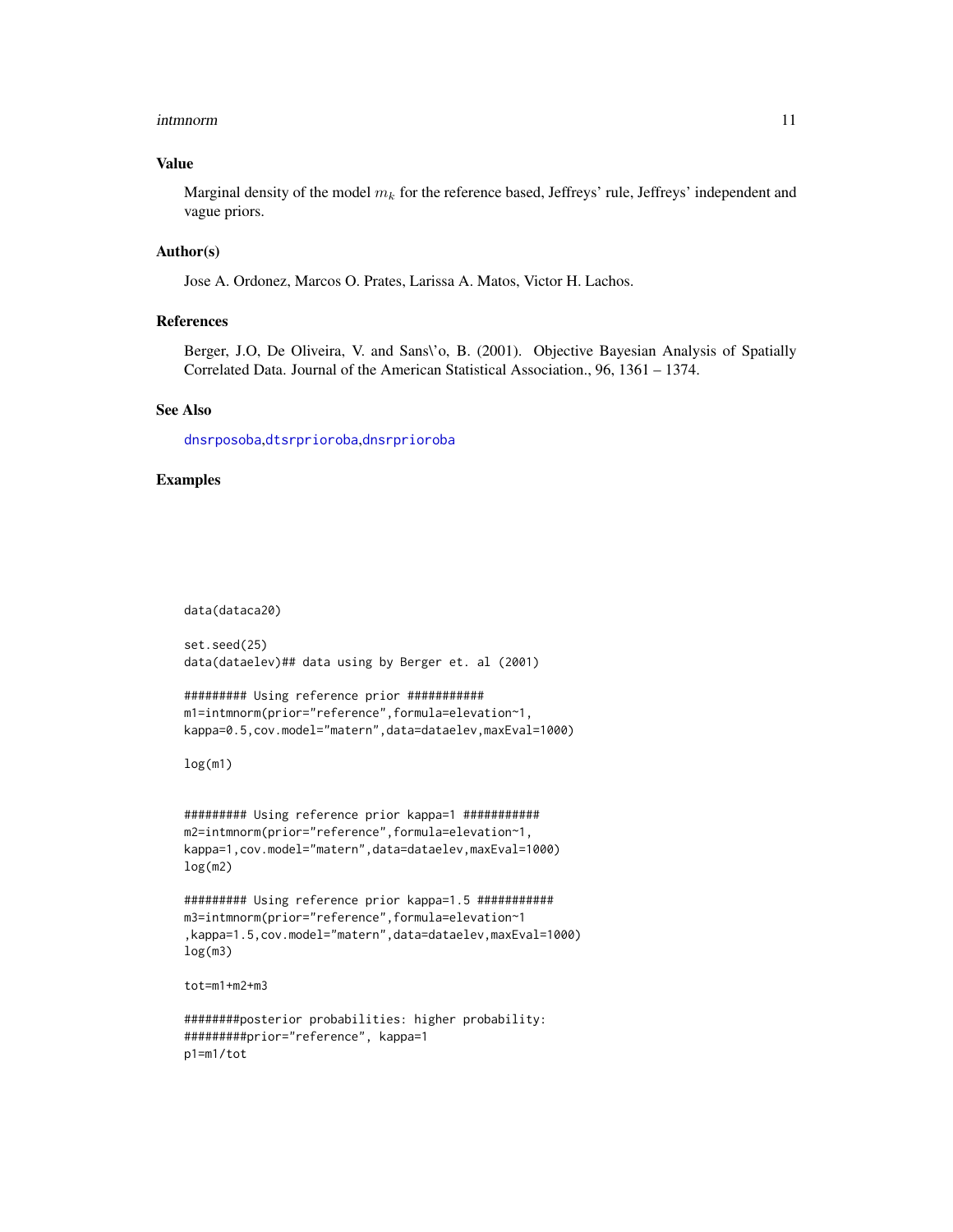### <span id="page-10-0"></span>intmnorm 11

## Value

Marginal density of the model  $m_k$  for the reference based, Jeffreys' rule, Jeffreys' independent and vague priors.

### Author(s)

Jose A. Ordonez, Marcos O. Prates, Larissa A. Matos, Victor H. Lachos.

### References

Berger, J.O, De Oliveira, V. and Sans\'o, B. (2001). Objective Bayesian Analysis of Spatially Correlated Data. Journal of the American Statistical Association., 96, 1361 – 1374.

### See Also

[dnsrposoba](#page-2-1),[dtsrprioroba](#page-7-1),[dnsrprioroba](#page-4-1)

### Examples

```
data(dataca20)
```

```
set.seed(25)
data(dataelev)## data using by Berger et. al (2001)
```

```
######### Using reference prior ###########
m1=intmnorm(prior="reference",formula=elevation~1,
kappa=0.5,cov.model="matern",data=dataelev,maxEval=1000)
```
log(m1)

```
######### Using reference prior kappa=1 ###########
m2=intmnorm(prior="reference",formula=elevation~1,
kappa=1,cov.model="matern",data=dataelev,maxEval=1000)
log(m2)
```

```
######### Using reference prior kappa=1.5 ###########
m3=intmnorm(prior="reference",formula=elevation~1
,kappa=1.5,cov.model="matern",data=dataelev,maxEval=1000)
log(m3)
```
tot=m1+m2+m3

```
########posterior probabilities: higher probability:
#########prior="reference", kappa=1
p1=m1/tot
```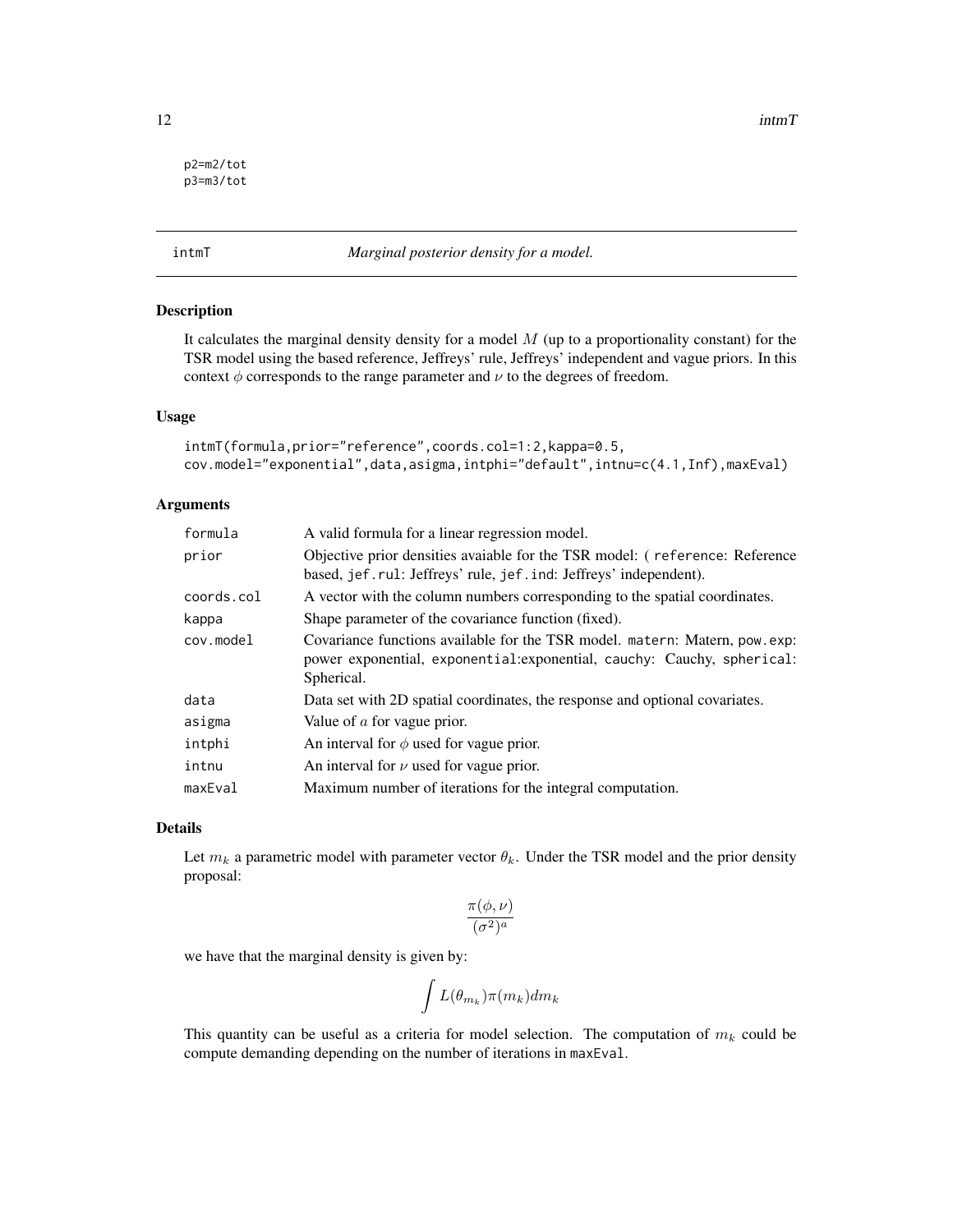<span id="page-11-0"></span>p2=m2/tot p3=m3/tot

intmT *Marginal posterior density for a model.*

### Description

It calculates the marginal density density for a model  $M$  (up to a proportionality constant) for the TSR model using the based reference, Jeffreys' rule, Jeffreys' independent and vague priors. In this context  $\phi$  corresponds to the range parameter and  $\nu$  to the degrees of freedom.

### Usage

```
intmT(formula,prior="reference",coords.col=1:2,kappa=0.5,
cov.model="exponential",data,asigma,intphi="default",intnu=c(4.1,Inf),maxEval)
```
# Arguments

| formula    | A valid formula for a linear regression model.                                                                                                                       |
|------------|----------------------------------------------------------------------------------------------------------------------------------------------------------------------|
| prior      | Objective prior densities avaiable for the TSR model: (reference: Reference<br>based, jef.rul: Jeffreys' rule, jef.ind: Jeffreys' independent).                      |
| coords.col | A vector with the column numbers corresponding to the spatial coordinates.                                                                                           |
| kappa      | Shape parameter of the covariance function (fixed).                                                                                                                  |
| cov.model  | Covariance functions available for the TSR model. matern: Matern, pow. exp:<br>power exponential, exponential: exponential, cauchy: Cauchy, spherical:<br>Spherical. |
| data       | Data set with 2D spatial coordinates, the response and optional covariates.                                                                                          |
| asigma     | Value of $\alpha$ for vague prior.                                                                                                                                   |
| intphi     | An interval for $\phi$ used for vague prior.                                                                                                                         |
| intnu      | An interval for $\nu$ used for vague prior.                                                                                                                          |
| maxEval    | Maximum number of iterations for the integral computation.                                                                                                           |

### Details

Let  $m_k$  a parametric model with parameter vector  $\theta_k$ . Under the TSR model and the prior density proposal:

$$
\frac{\pi(\phi,\nu)}{(\sigma^2)^a}
$$

we have that the marginal density is given by:

$$
\int L(\theta_{m_k})\pi(m_k)dm_k
$$

This quantity can be useful as a criteria for model selection. The computation of  $m_k$  could be compute demanding depending on the number of iterations in maxEval.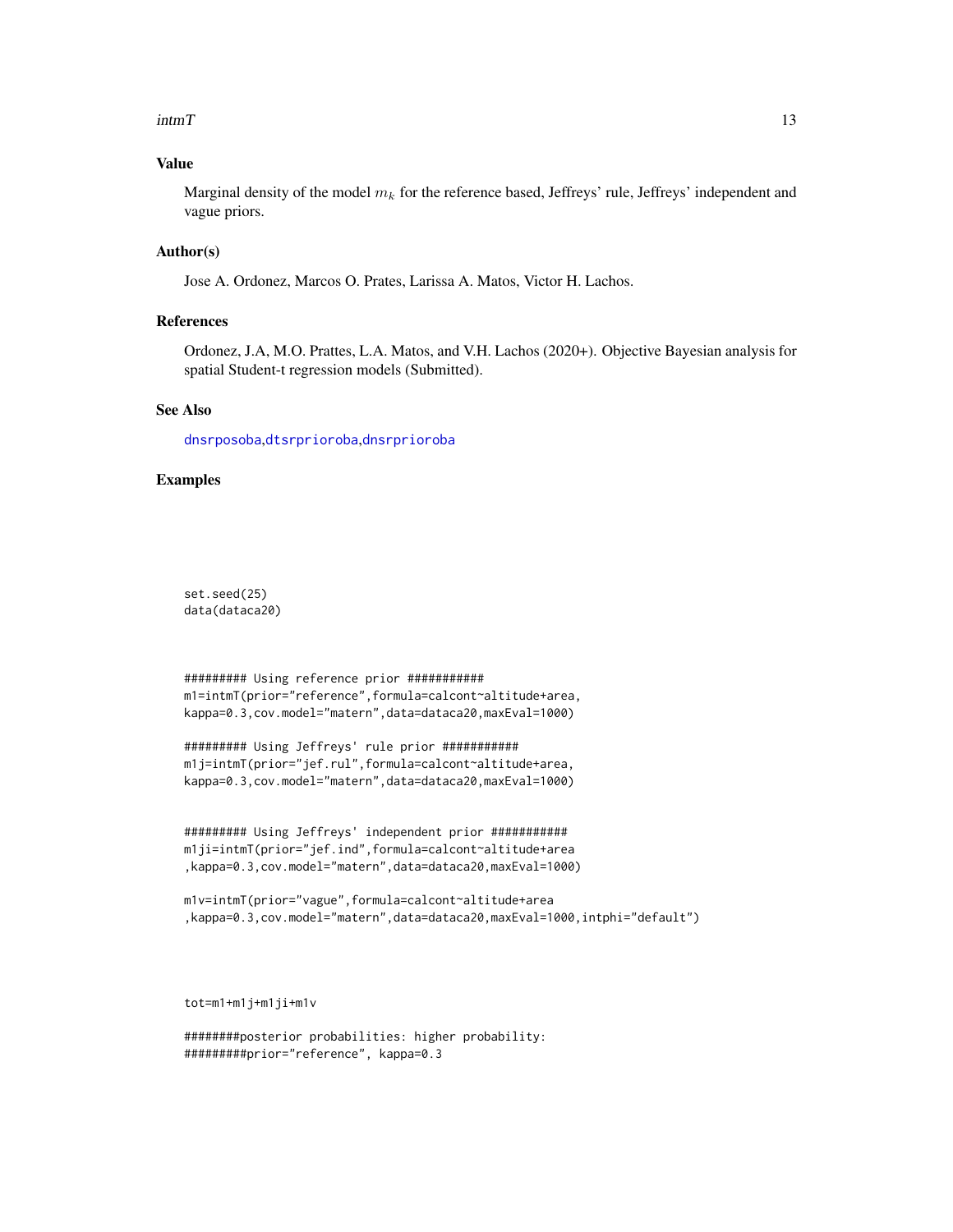### <span id="page-12-0"></span> $\lim T$  13

# Value

Marginal density of the model  $m_k$  for the reference based, Jeffreys' rule, Jeffreys' independent and vague priors.

### Author(s)

Jose A. Ordonez, Marcos O. Prates, Larissa A. Matos, Victor H. Lachos.

### References

Ordonez, J.A, M.O. Prattes, L.A. Matos, and V.H. Lachos (2020+). Objective Bayesian analysis for spatial Student-t regression models (Submitted).

### See Also

[dnsrposoba](#page-2-1),[dtsrprioroba](#page-7-1),[dnsrprioroba](#page-4-1)

### Examples

```
set.seed(25)
data(dataca20)
```

```
######### Using reference prior ###########
m1=intmT(prior="reference",formula=calcont~altitude+area,
kappa=0.3,cov.model="matern",data=dataca20,maxEval=1000)
```

```
######### Using Jeffreys' rule prior ###########
m1j=intmT(prior="jef.rul",formula=calcont~altitude+area,
kappa=0.3,cov.model="matern",data=dataca20,maxEval=1000)
```

```
######### Using Jeffreys' independent prior ###########
m1ji=intmT(prior="jef.ind",formula=calcont~altitude+area
,kappa=0.3,cov.model="matern",data=dataca20,maxEval=1000)
```

```
m1v=intmT(prior="vague",formula=calcont~altitude+area
,kappa=0.3,cov.model="matern",data=dataca20,maxEval=1000,intphi="default")
```
tot=m1+m1j+m1ji+m1v

```
########posterior probabilities: higher probability:
#########prior="reference", kappa=0.3
```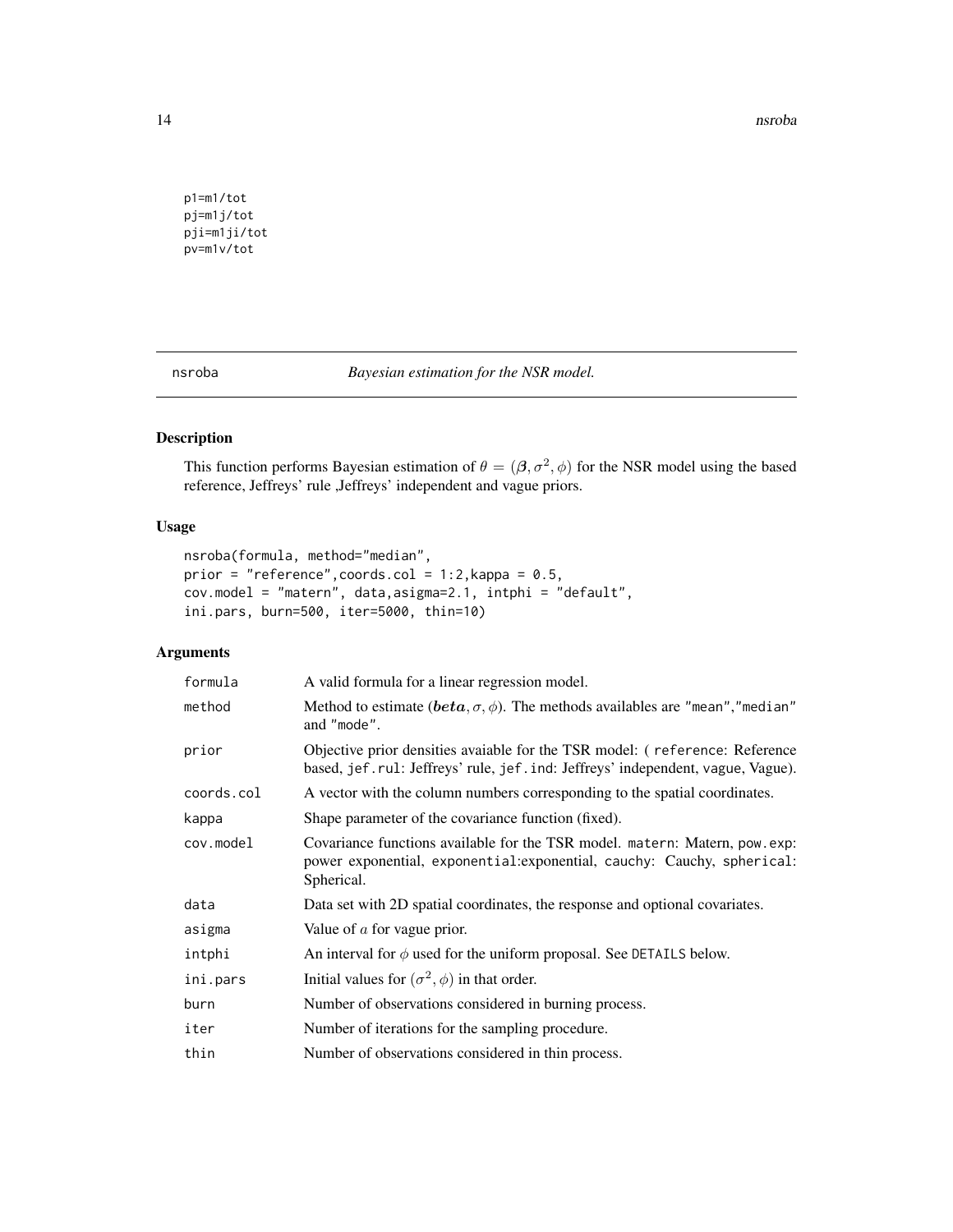<span id="page-13-0"></span>14 nsroba

p1=m1/tot pj=m1j/tot pji=m1ji/tot pv=m1v/tot

<span id="page-13-1"></span>

nsroba *Bayesian estimation for the NSR model.*

# Description

This function performs Bayesian estimation of  $\theta = (\beta, \sigma^2, \phi)$  for the NSR model using the based reference, Jeffreys' rule ,Jeffreys' independent and vague priors.

# Usage

```
nsroba(formula, method="median",
prior = "reference", coords.col = 1:2, kappa = 0.5,
cov.model = "matern", data,asigma=2.1, intphi = "default",
ini.pars, burn=500, iter=5000, thin=10)
```
# Arguments

| formula    | A valid formula for a linear regression model.                                                                                                                      |
|------------|---------------------------------------------------------------------------------------------------------------------------------------------------------------------|
| method     | Method to estimate $(beta, \sigma, \phi)$ . The methods availables are "mean", "median"<br>and "mode".                                                              |
| prior      | Objective prior densities avaiable for the TSR model: (reference: Reference<br>based, jef.rul: Jeffreys' rule, jef.ind: Jeffreys' independent, vague, Vague).       |
| coords.col | A vector with the column numbers corresponding to the spatial coordinates.                                                                                          |
| kappa      | Shape parameter of the covariance function (fixed).                                                                                                                 |
| cov.model  | Covariance functions available for the TSR model. matern: Matern, pow.exp:<br>power exponential, exponential: exponential, cauchy: Cauchy, spherical:<br>Spherical. |
| data       | Data set with 2D spatial coordinates, the response and optional covariates.                                                                                         |
| asigma     | Value of $\alpha$ for vague prior.                                                                                                                                  |
| intphi     | An interval for $\phi$ used for the uniform proposal. See DETAILS below.                                                                                            |
| ini.pars   | Initial values for $(\sigma^2, \phi)$ in that order.                                                                                                                |
| burn       | Number of observations considered in burning process.                                                                                                               |
| iter       | Number of iterations for the sampling procedure.                                                                                                                    |
| thin       | Number of observations considered in thin process.                                                                                                                  |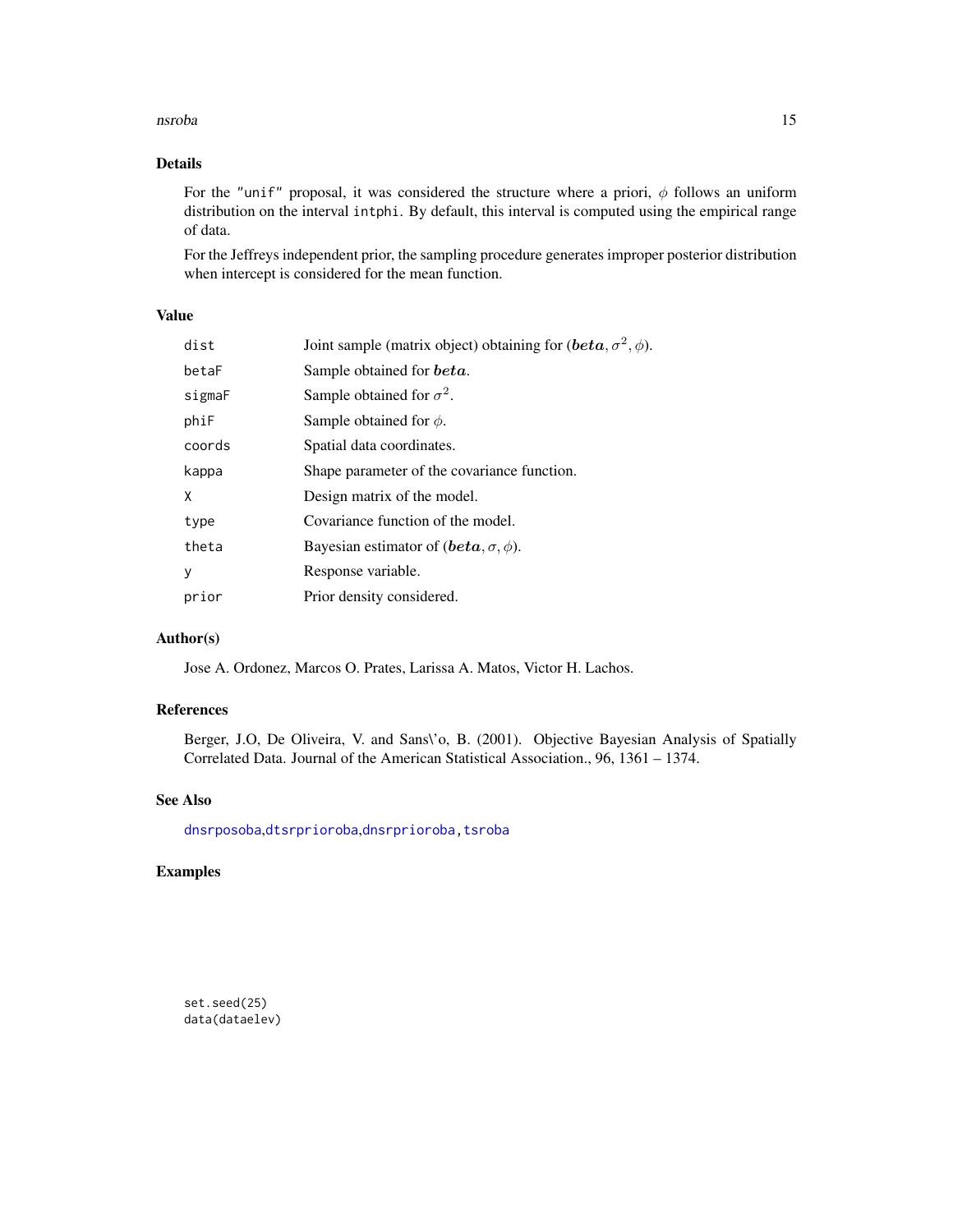### <span id="page-14-0"></span>nsroba 15

# Details

For the "unif" proposal, it was considered the structure where a priori,  $\phi$  follows an uniform distribution on the interval intphi. By default, this interval is computed using the empirical range of data.

For the Jeffreys independent prior, the sampling procedure generates improper posterior distribution when intercept is considered for the mean function.

# Value

| dist   | Joint sample (matrix object) obtaining for ( <i>beta</i> , $\sigma^2$ , $\phi$ ). |
|--------|-----------------------------------------------------------------------------------|
| betaF  | Sample obtained for <i>beta</i> .                                                 |
| sigmaF | Sample obtained for $\sigma^2$ .                                                  |
| phiF   | Sample obtained for $\phi$ .                                                      |
| coords | Spatial data coordinates.                                                         |
| kappa  | Shape parameter of the covariance function.                                       |
| X      | Design matrix of the model.                                                       |
| type   | Covariance function of the model.                                                 |
| theta  | Bayesian estimator of ( <i>beta</i> , $\sigma$ , $\phi$ ).                        |
| V      | Response variable.                                                                |
| prior  | Prior density considered.                                                         |
|        |                                                                                   |

### Author(s)

Jose A. Ordonez, Marcos O. Prates, Larissa A. Matos, Victor H. Lachos.

# References

Berger, J.O, De Oliveira, V. and Sans\'o, B. (2001). Objective Bayesian Analysis of Spatially Correlated Data. Journal of the American Statistical Association., 96, 1361 – 1374.

## See Also

[dnsrposoba](#page-2-1),[dtsrprioroba](#page-7-1),[dnsrprioroba,](#page-4-1)[tsroba](#page-19-1)

# Examples

set.seed(25) data(dataelev)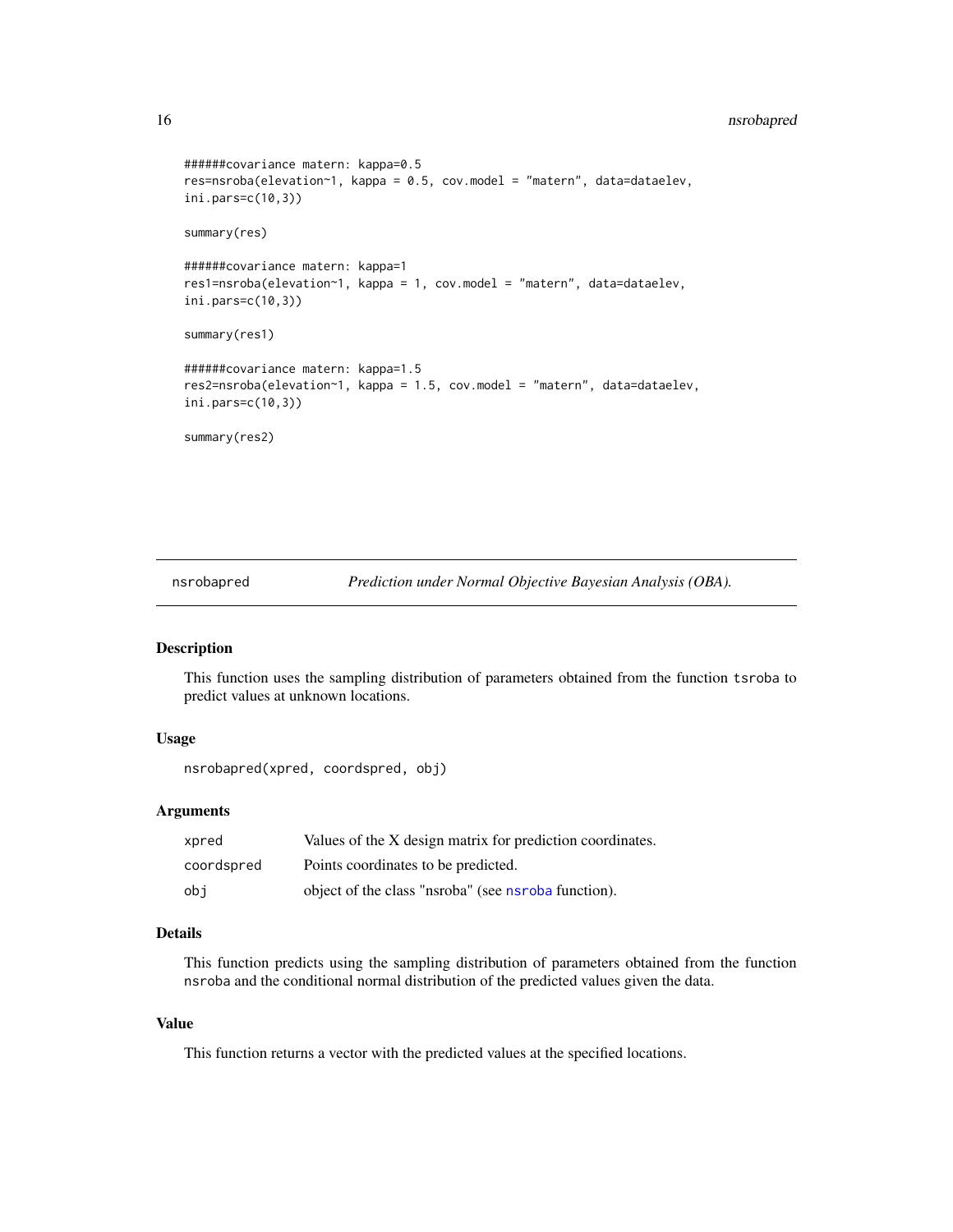# <span id="page-15-0"></span>16 nsrobapred

```
######covariance matern: kappa=0.5
res=nsroba(elevation~1, kappa = 0.5, cov.model = "matern", data=dataelev,
ini.pars=c(10,3))
summary(res)
######covariance matern: kappa=1
res1=nsroba(elevation~1, kappa = 1, cov.model = "matern", data=dataelev,
ini.pars=c(10,3))
summary(res1)
######covariance matern: kappa=1.5
res2=nsroba(elevation~1, kappa = 1.5, cov.model = "matern", data=dataelev,
ini.pars=c(10,3))
summary(res2)
```
<span id="page-15-1"></span>nsrobapred *Prediction under Normal Objective Bayesian Analysis (OBA).*

### Description

This function uses the sampling distribution of parameters obtained from the function tsroba to predict values at unknown locations.

### Usage

nsrobapred(xpred, coordspred, obj)

### Arguments

| xpred      | Values of the X design matrix for prediction coordinates. |
|------------|-----------------------------------------------------------|
| coordspred | Points coordinates to be predicted.                       |
| obi        | object of the class "nsroba" (see nsroba function).       |

# Details

This function predicts using the sampling distribution of parameters obtained from the function nsroba and the conditional normal distribution of the predicted values given the data.

# Value

This function returns a vector with the predicted values at the specified locations.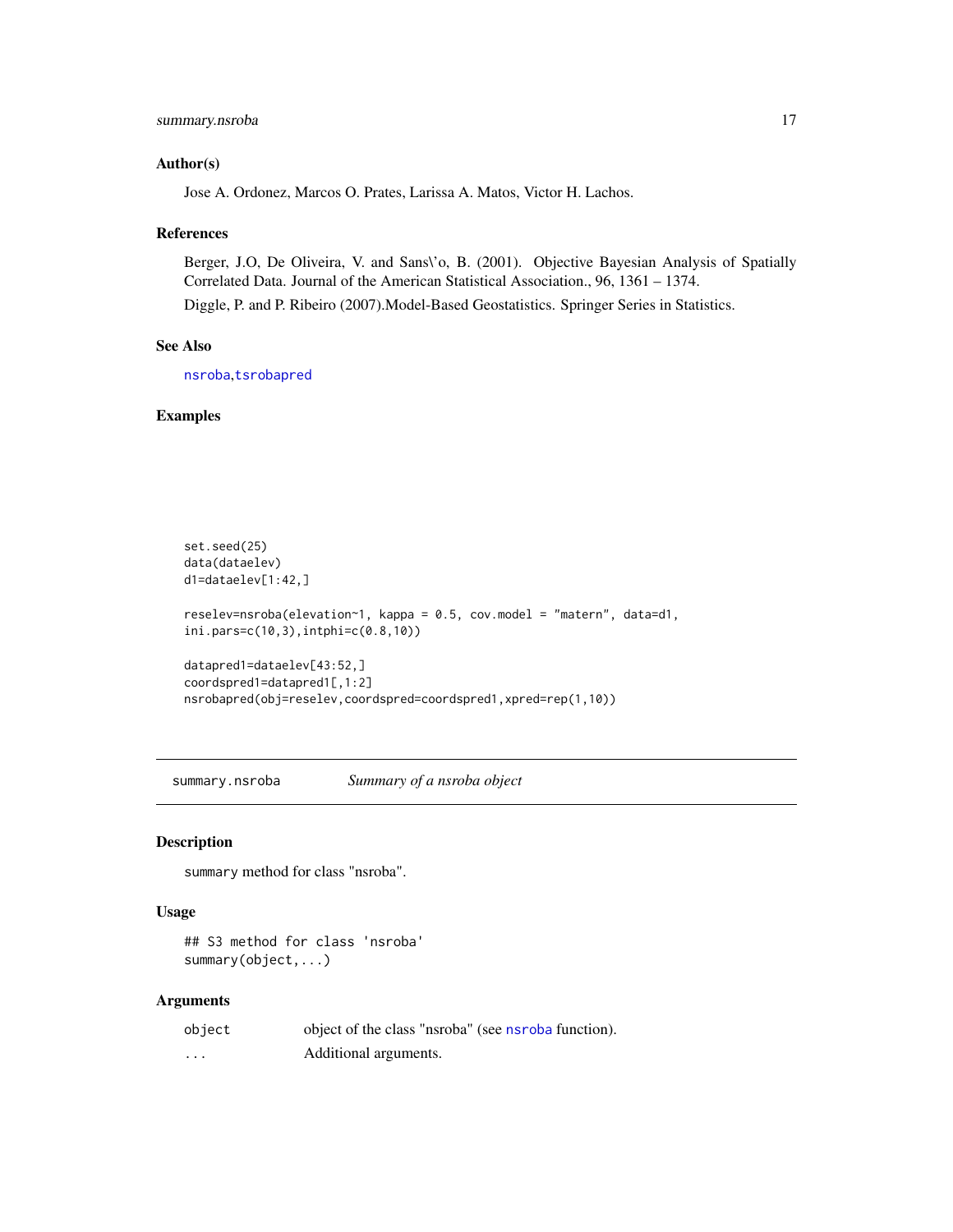# <span id="page-16-0"></span>summary.nsroba 17

### Author(s)

Jose A. Ordonez, Marcos O. Prates, Larissa A. Matos, Victor H. Lachos.

### References

Berger, J.O, De Oliveira, V. and Sans\'o, B. (2001). Objective Bayesian Analysis of Spatially Correlated Data. Journal of the American Statistical Association., 96, 1361 – 1374.

Diggle, P. and P. Ribeiro (2007).Model-Based Geostatistics. Springer Series in Statistics.

# See Also

[nsroba](#page-13-1),[tsrobapred](#page-22-1)

### Examples

```
set.seed(25)
data(dataelev)
d1=dataelev[1:42,]
reselev=nsroba(elevation~1, kappa = 0.5, cov.model = "matern", data=d1,
ini.pars=c(10,3),intphi=c(0.8,10))
datapred1=dataelev[43:52,]
coordspred1=datapred1[,1:2]
nsrobapred(obj=reselev,coordspred=coordspred1,xpred=rep(1,10))
```
summary.nsroba *Summary of a nsroba object*

#### Description

summary method for class "nsroba".

### Usage

## S3 method for class 'nsroba' summary(object,...)

### Arguments

| object   | object of the class "nsroba" (see nsroba function). |
|----------|-----------------------------------------------------|
| $\cdots$ | Additional arguments.                               |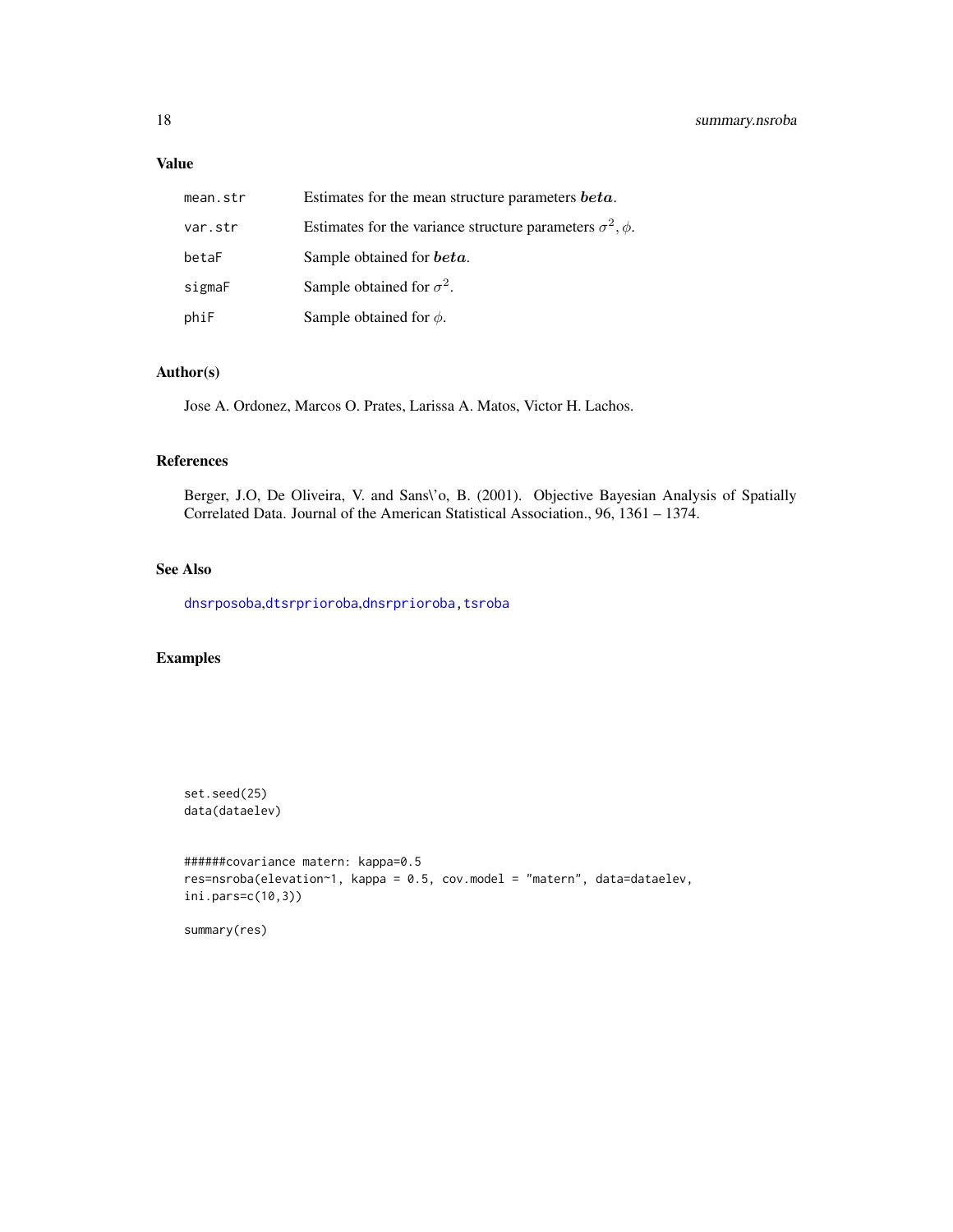# <span id="page-17-0"></span>Value

| mean.str | Estimates for the mean structure parameters <i>beta</i> .             |
|----------|-----------------------------------------------------------------------|
| var.str  | Estimates for the variance structure parameters $\sigma^2$ , $\phi$ . |
| betaF    | Sample obtained for <i>beta</i> .                                     |
| sigmaF   | Sample obtained for $\sigma^2$ .                                      |
| phiF     | Sample obtained for $\phi$ .                                          |

# Author(s)

Jose A. Ordonez, Marcos O. Prates, Larissa A. Matos, Victor H. Lachos.

# References

Berger, J.O, De Oliveira, V. and Sans\'o, B. (2001). Objective Bayesian Analysis of Spatially Correlated Data. Journal of the American Statistical Association., 96, 1361 – 1374.

# See Also

[dnsrposoba](#page-2-1),[dtsrprioroba](#page-7-1),[dnsrprioroba,](#page-4-1)[tsroba](#page-19-1)

# Examples

```
set.seed(25)
data(dataelev)
```

```
######covariance matern: kappa=0.5
res=nsroba(elevation~1, kappa = 0.5, cov.model = "matern", data=dataelev,
ini.pars=c(10,3))
```

```
summary(res)
```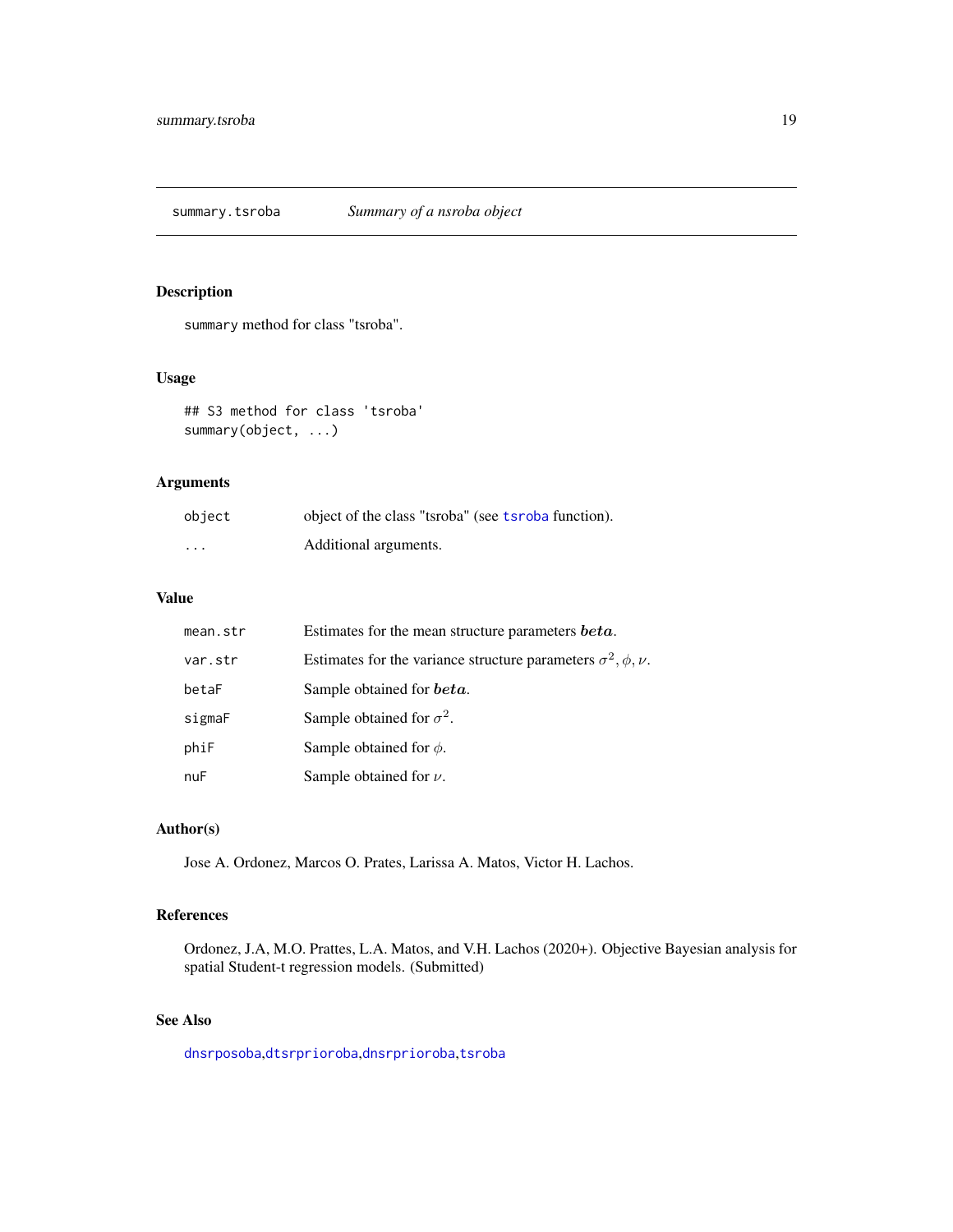<span id="page-18-0"></span>summary.tsroba *Summary of a nsroba object*

### Description

summary method for class "tsroba".

# Usage

```
## S3 method for class 'tsroba'
summary(object, ...)
```
### Arguments

| object  | object of the class "tsroba" (see tsroba function). |
|---------|-----------------------------------------------------|
| $\cdot$ | Additional arguments.                               |

## Value

| mean.str | Estimates for the mean structure parameters <i>beta</i> .                     |
|----------|-------------------------------------------------------------------------------|
| var.str  | Estimates for the variance structure parameters $\sigma^2$ , $\phi$ , $\nu$ . |
| betaF    | Sample obtained for <i>beta</i> .                                             |
| sigmaF   | Sample obtained for $\sigma^2$ .                                              |
| phiF     | Sample obtained for $\phi$ .                                                  |
| nuF      | Sample obtained for $\nu$ .                                                   |

# Author(s)

Jose A. Ordonez, Marcos O. Prates, Larissa A. Matos, Victor H. Lachos.

## References

Ordonez, J.A, M.O. Prattes, L.A. Matos, and V.H. Lachos (2020+). Objective Bayesian analysis for spatial Student-t regression models. (Submitted)

# See Also

[dnsrposoba](#page-2-1),[dtsrprioroba](#page-7-1),[dnsrprioroba](#page-4-1),[tsroba](#page-19-1)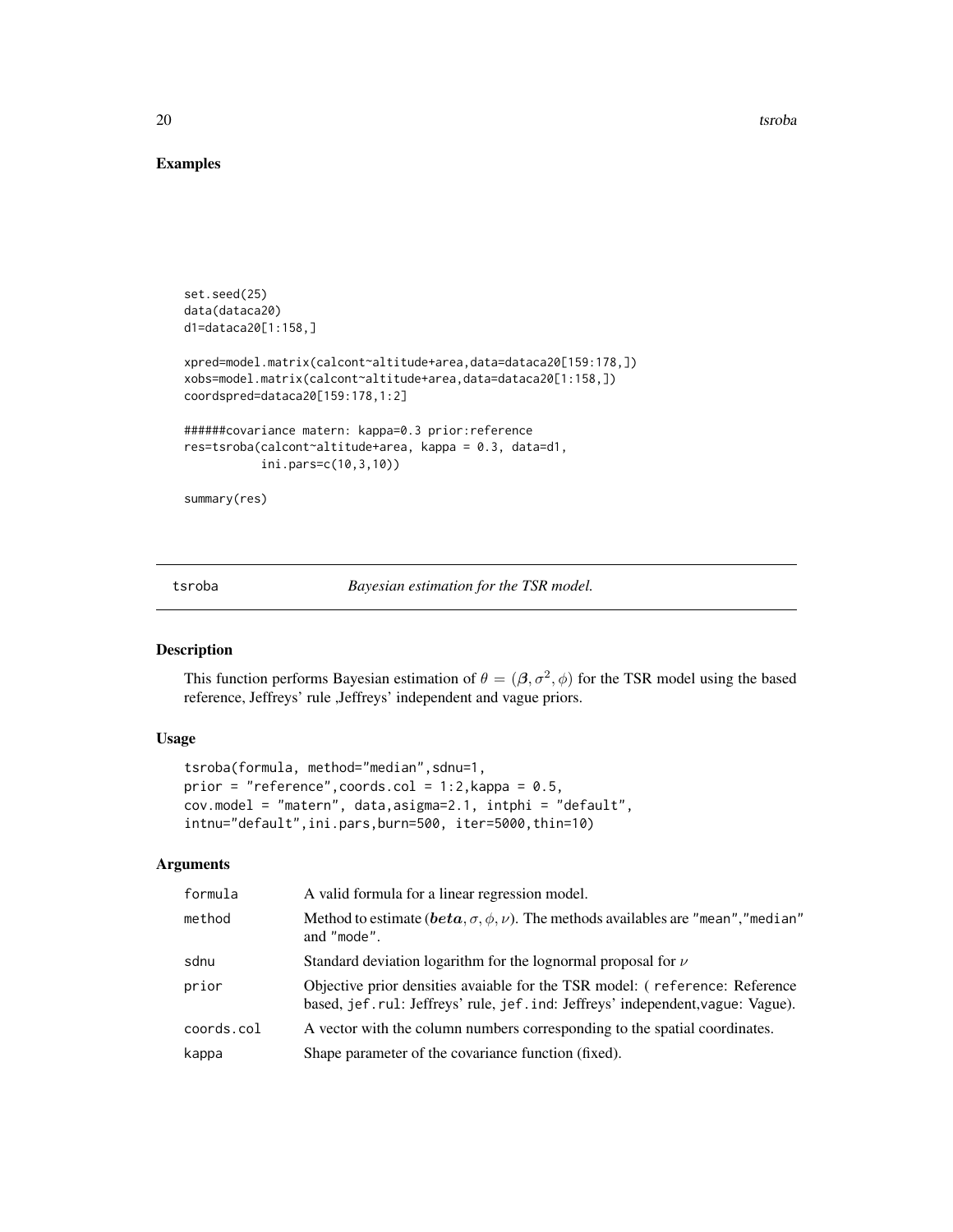20 tsroba

# Examples

```
set.seed(25)
data(dataca20)
d1=dataca20[1:158,]
xpred=model.matrix(calcont~altitude+area,data=dataca20[159:178,])
xobs=model.matrix(calcont~altitude+area,data=dataca20[1:158,])
coordspred=dataca20[159:178,1:2]
######covariance matern: kappa=0.3 prior:reference
res=tsroba(calcont~altitude+area, kappa = 0.3, data=d1,
           ini.pars=c(10,3,10))
summary(res)
```
<span id="page-19-1"></span>

tsroba *Bayesian estimation for the TSR model.*

# Description

This function performs Bayesian estimation of  $\theta = (\beta, \sigma^2, \phi)$  for the TSR model using the based reference, Jeffreys' rule ,Jeffreys' independent and vague priors.

### Usage

```
tsroba(formula, method="median",sdnu=1,
prior = "reference", coords.col = 1:2, kappa = 0.5,
cov.model = "matern", data,asigma=2.1, intphi = "default",
intnu="default",ini.pars,burn=500, iter=5000,thin=10)
```
# Arguments

| formula    | A valid formula for a linear regression model.                                                                                                                |
|------------|---------------------------------------------------------------------------------------------------------------------------------------------------------------|
| method     | Method to estimate (beta, $\sigma$ , $\phi$ , $\nu$ ). The methods availables are "mean", "median"<br>and "mode".                                             |
| sdnu       | Standard deviation logarithm for the lognormal proposal for $\nu$                                                                                             |
| prior      | Objective prior densities avaiable for the TSR model: (reference: Reference<br>based, jef.rul: Jeffreys' rule, jef.ind: Jeffreys' independent, vague: Vague). |
| coords.col | A vector with the column numbers corresponding to the spatial coordinates.                                                                                    |
| kappa      | Shape parameter of the covariance function (fixed).                                                                                                           |

<span id="page-19-0"></span>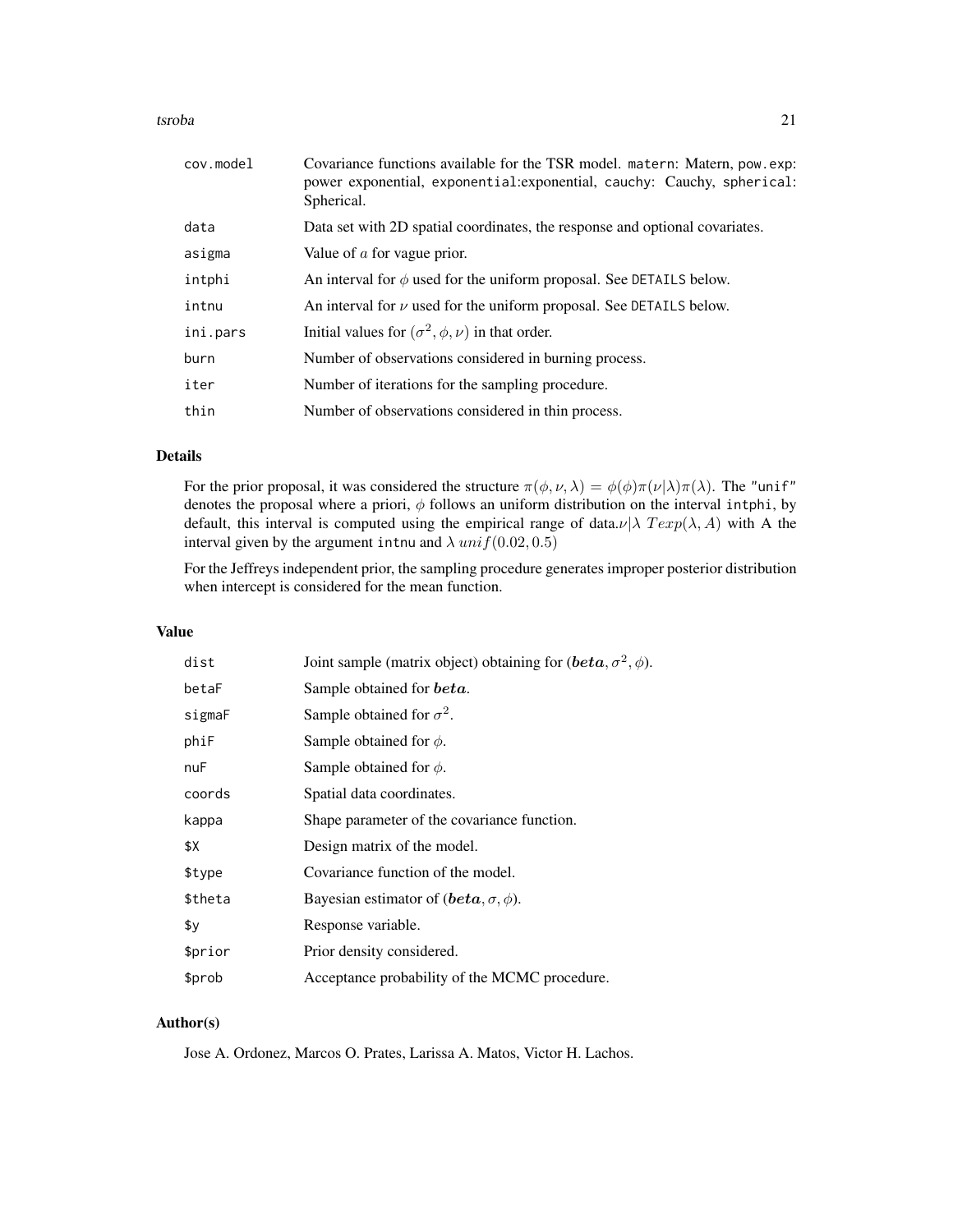### tsroba 21

| cov.model | Covariance functions available for the TSR model. matern: Matern, pow.exp:<br>power exponential, exponential: exponential, cauchy: Cauchy, spherical:<br>Spherical. |
|-----------|---------------------------------------------------------------------------------------------------------------------------------------------------------------------|
| data      | Data set with 2D spatial coordinates, the response and optional covariates.                                                                                         |
| asigma    | Value of $\alpha$ for vague prior.                                                                                                                                  |
| intphi    | An interval for $\phi$ used for the uniform proposal. See DETAILS below.                                                                                            |
| intnu     | An interval for $\nu$ used for the uniform proposal. See DETAILS below.                                                                                             |
| ini.pars  | Initial values for $(\sigma^2, \phi, \nu)$ in that order.                                                                                                           |
| burn      | Number of observations considered in burning process.                                                                                                               |
| iter      | Number of iterations for the sampling procedure.                                                                                                                    |
| thin      | Number of observations considered in thin process.                                                                                                                  |

### Details

For the prior proposal, it was considered the structure  $\pi(\phi, \nu, \lambda) = \phi(\phi)\pi(\nu|\lambda)\pi(\lambda)$ . The "unif" denotes the proposal where a priori,  $\phi$  follows an uniform distribution on the interval intphi, by default, this interval is computed using the empirical range of data. $\nu|\lambda \text{~}T \exp(\lambda, A)$  with A the interval given by the argument intnu and  $\lambda$  unif (0.02, 0.5)

For the Jeffreys independent prior, the sampling procedure generates improper posterior distribution when intercept is considered for the mean function.

### Value

| dist    | Joint sample (matrix object) obtaining for ( <i>beta</i> , $\sigma^2$ , $\phi$ ). |
|---------|-----------------------------------------------------------------------------------|
| betaF   | Sample obtained for <i>beta</i> .                                                 |
| sigmaF  | Sample obtained for $\sigma^2$ .                                                  |
| phiF    | Sample obtained for $\phi$ .                                                      |
| nuF     | Sample obtained for $\phi$ .                                                      |
| coords  | Spatial data coordinates.                                                         |
| kappa   | Shape parameter of the covariance function.                                       |
| \$Х     | Design matrix of the model.                                                       |
| \$type  | Covariance function of the model.                                                 |
| \$theta | Bayesian estimator of $(\boldsymbol{beta}, \sigma, \phi)$ .                       |
| \$у     | Response variable.                                                                |
| \$prior | Prior density considered.                                                         |
| \$prob  | Acceptance probability of the MCMC procedure.                                     |

### Author(s)

Jose A. Ordonez, Marcos O. Prates, Larissa A. Matos, Victor H. Lachos.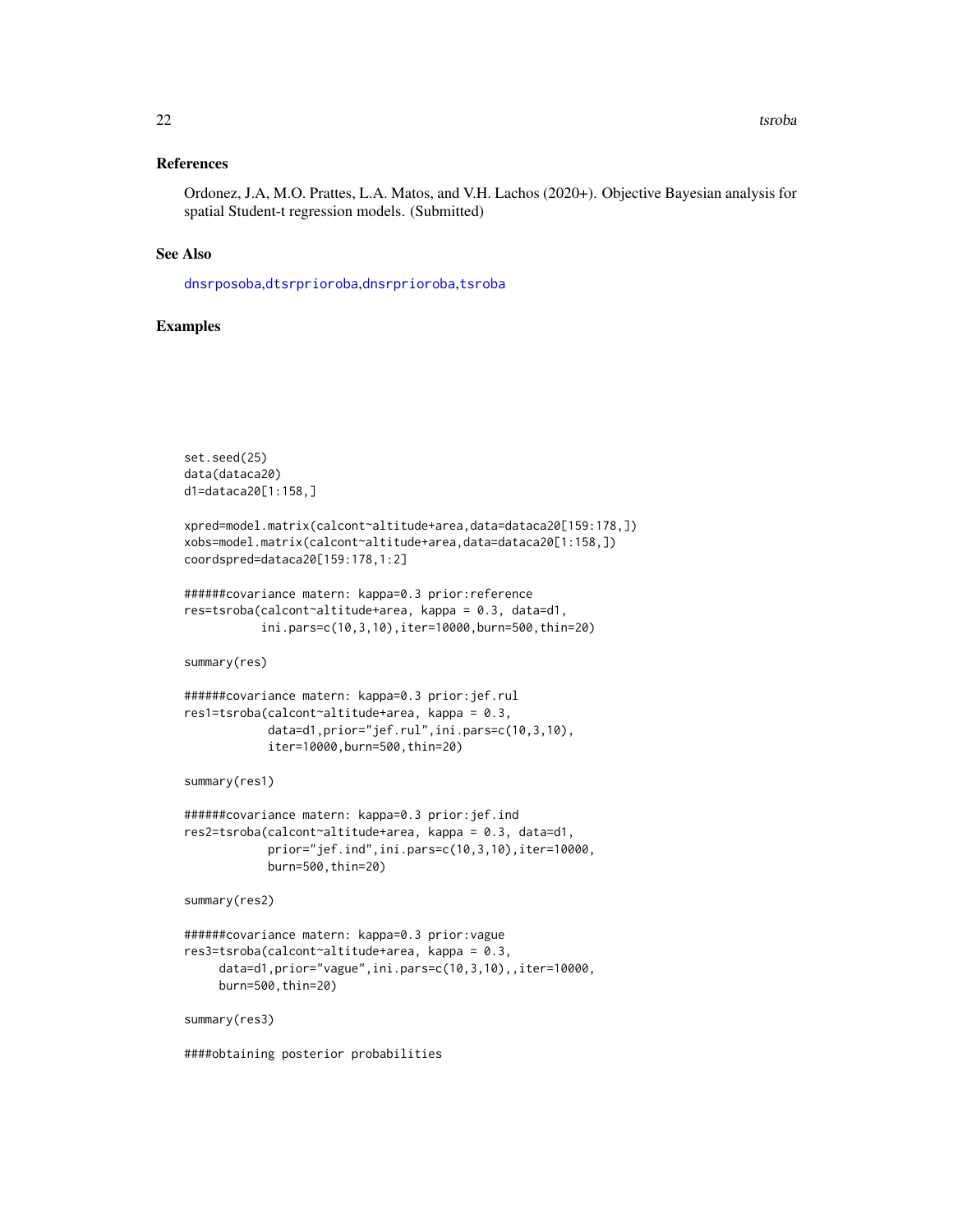# <span id="page-21-0"></span>References

Ordonez, J.A, M.O. Prattes, L.A. Matos, and V.H. Lachos (2020+). Objective Bayesian analysis for spatial Student-t regression models. (Submitted)

### See Also

[dnsrposoba](#page-2-1),[dtsrprioroba](#page-7-1),[dnsrprioroba](#page-4-1),[tsroba](#page-19-1)

### Examples

```
set.seed(25)
data(dataca20)
d1=dataca20[1:158,]
xpred=model.matrix(calcont~altitude+area,data=dataca20[159:178,])
xobs=model.matrix(calcont~altitude+area,data=dataca20[1:158,])
coordspred=dataca20[159:178,1:2]
######covariance matern: kappa=0.3 prior:reference
res=tsroba(calcont~altitude+area, kappa = 0.3, data=d1,
           ini.pars=c(10,3,10),iter=10000,burn=500,thin=20)
summary(res)
######covariance matern: kappa=0.3 prior:jef.rul
res1=tsroba(calcont~altitude+area, kappa = 0.3,
            data=d1,prior="jef.rul",ini.pars=c(10,3,10),
            iter=10000,burn=500,thin=20)
summary(res1)
######covariance matern: kappa=0.3 prior:jef.ind
res2=tsroba(calcont~altitude+area, kappa = 0.3, data=d1,
            prior="jef.ind",ini.pars=c(10,3,10),iter=10000,
            burn=500,thin=20)
summary(res2)
######covariance matern: kappa=0.3 prior:vague
res3=tsroba(calcont~altitude+area, kappa = 0.3,
     data=d1,prior="vague",ini.pars=c(10,3,10),,iter=10000,
     burn=500,thin=20)
summary(res3)
```
####obtaining posterior probabilities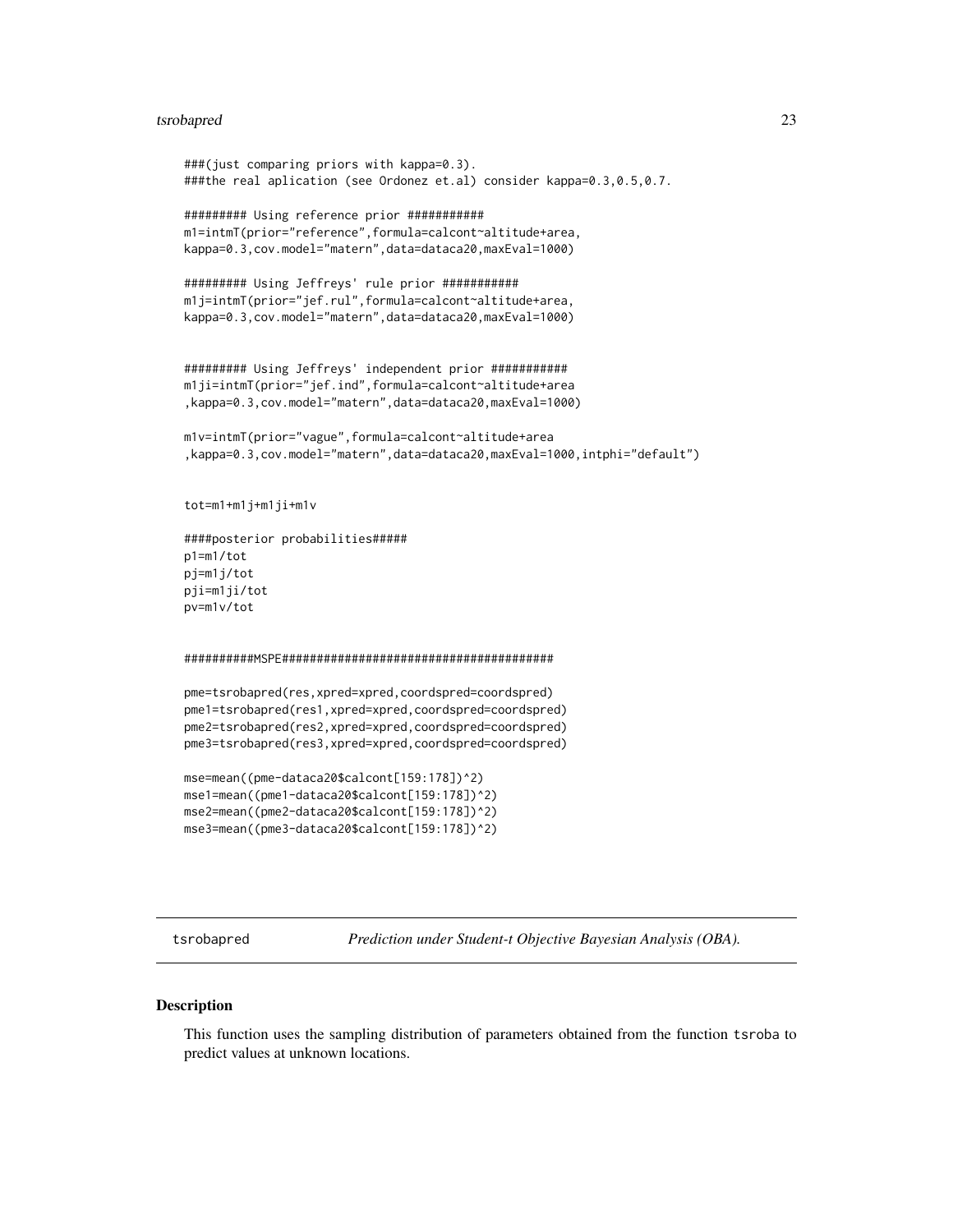### <span id="page-22-0"></span>tsrobapred 23

```
###(just comparing priors with kappa=0.3).
###the real aplication (see Ordonez et.al) consider kappa=0.3,0.5,0.7.
######### Using reference prior ###########
m1=intmT(prior="reference",formula=calcont~altitude+area,
kappa=0.3,cov.model="matern",data=dataca20,maxEval=1000)
######### Using Jeffreys' rule prior ###########
m1j=intmT(prior="jef.rul",formula=calcont~altitude+area,
kappa=0.3,cov.model="matern",data=dataca20,maxEval=1000)
######### Using Jeffreys' independent prior ###########
m1ji=intmT(prior="jef.ind",formula=calcont~altitude+area
,kappa=0.3,cov.model="matern",data=dataca20,maxEval=1000)
m1v=intmT(prior="vague",formula=calcont~altitude+area
,kappa=0.3,cov.model="matern",data=dataca20,maxEval=1000,intphi="default")
tot=m1+m1j+m1ji+m1v
####posterior probabilities#####
p1=m1/tot
pj=m1j/tot
pji=m1ji/tot
pv=m1v/tot
##########MSPE#######################################
pme=tsrobapred(res,xpred=xpred,coordspred=coordspred)
pme1=tsrobapred(res1,xpred=xpred,coordspred=coordspred)
pme2=tsrobapred(res2,xpred=xpred,coordspred=coordspred)
pme3=tsrobapred(res3,xpred=xpred,coordspred=coordspred)
mse=mean((pme-dataca20$calcont[159:178])^2)
mse1=mean((pme1-dataca20$calcont[159:178])^2)
mse2=mean((pme2-dataca20$calcont[159:178])^2)
mse3=mean((pme3-dataca20$calcont[159:178])^2)
```
<span id="page-22-1"></span>tsrobapred *Prediction under Student-t Objective Bayesian Analysis (OBA).*

#### Description

This function uses the sampling distribution of parameters obtained from the function tsroba to predict values at unknown locations.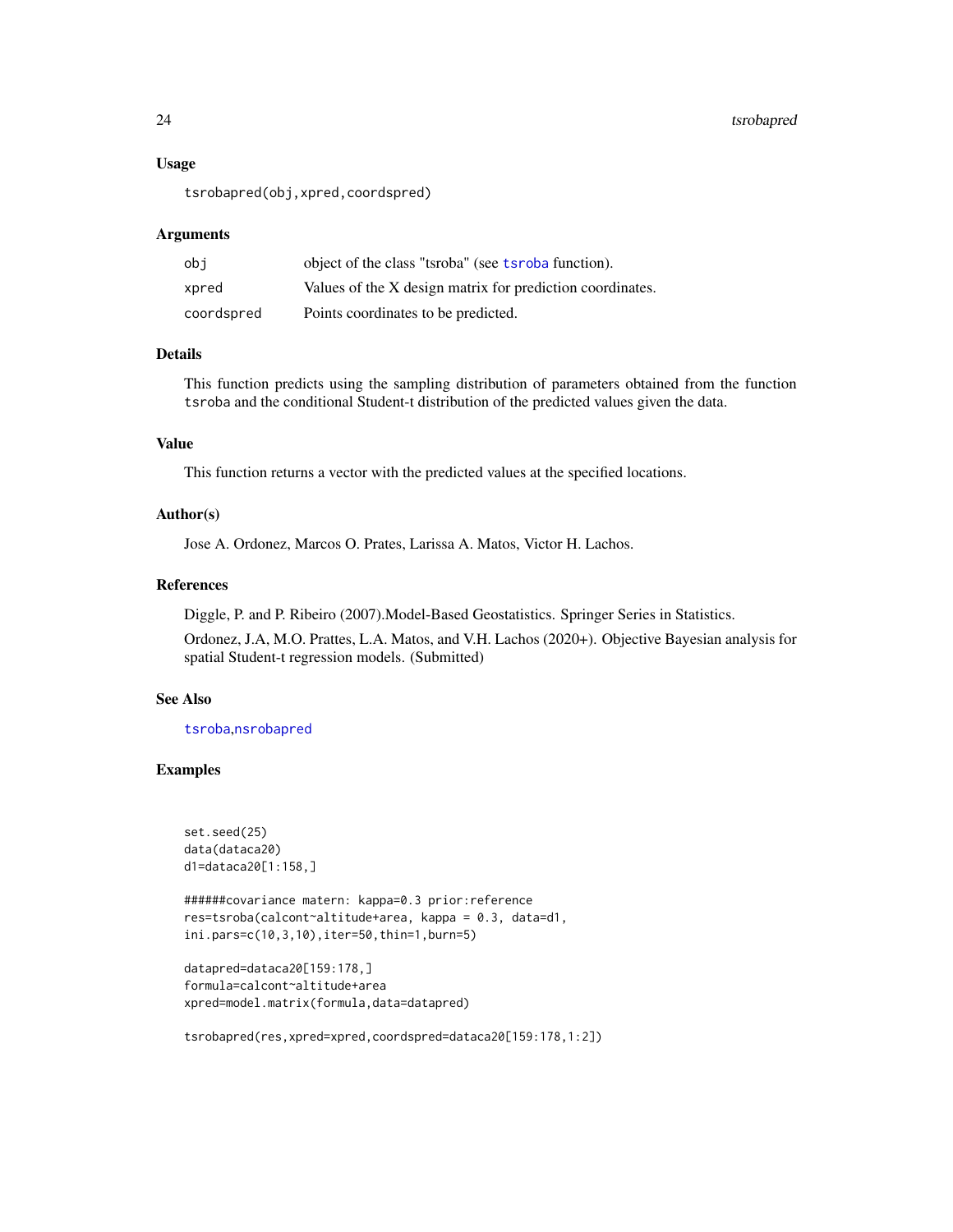# <span id="page-23-0"></span>24 tsrobapred

### Usage

tsrobapred(obj,xpred,coordspred)

### Arguments

| obi        | object of the class "tsroba" (see tsroba function).       |
|------------|-----------------------------------------------------------|
| xpred      | Values of the X design matrix for prediction coordinates. |
| coordspred | Points coordinates to be predicted.                       |

# Details

This function predicts using the sampling distribution of parameters obtained from the function tsroba and the conditional Student-t distribution of the predicted values given the data.

# Value

This function returns a vector with the predicted values at the specified locations.

# Author(s)

Jose A. Ordonez, Marcos O. Prates, Larissa A. Matos, Victor H. Lachos.

### References

Diggle, P. and P. Ribeiro (2007).Model-Based Geostatistics. Springer Series in Statistics.

Ordonez, J.A, M.O. Prattes, L.A. Matos, and V.H. Lachos (2020+). Objective Bayesian analysis for spatial Student-t regression models. (Submitted)

# See Also

[tsroba](#page-19-1),[nsrobapred](#page-15-1)

# Examples

```
set.seed(25)
data(dataca20)
d1=dataca20[1:158,]
```

```
######covariance matern: kappa=0.3 prior:reference
res=tsroba(calcont~altitude+area, kappa = 0.3, data=d1,
ini.pars=c(10,3,10),iter=50,thin=1,burn=5)
```

```
datapred=dataca20[159:178,]
formula=calcont~altitude+area
xpred=model.matrix(formula,data=datapred)
```
tsrobapred(res,xpred=xpred,coordspred=dataca20[159:178,1:2])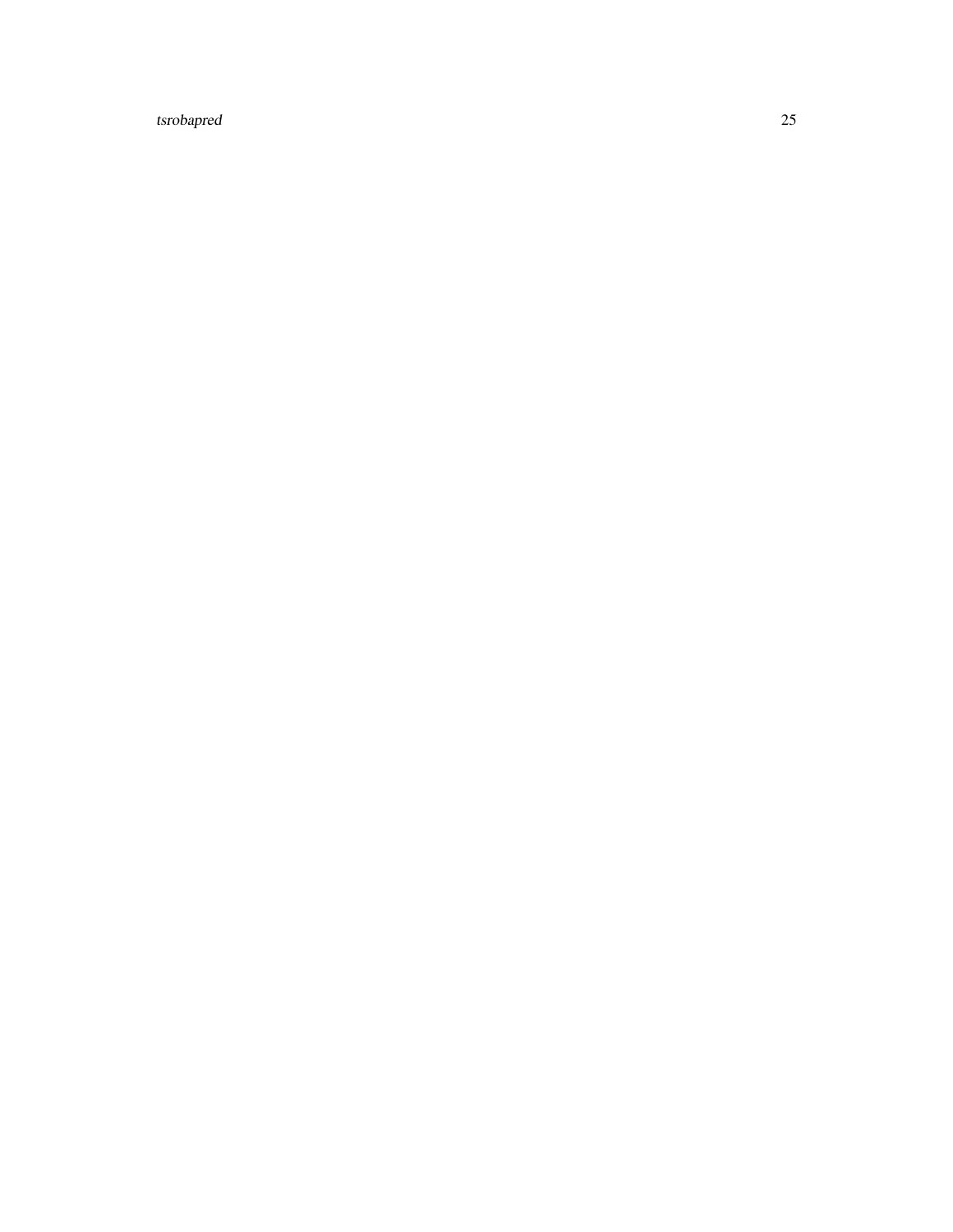# tsrobapred 25